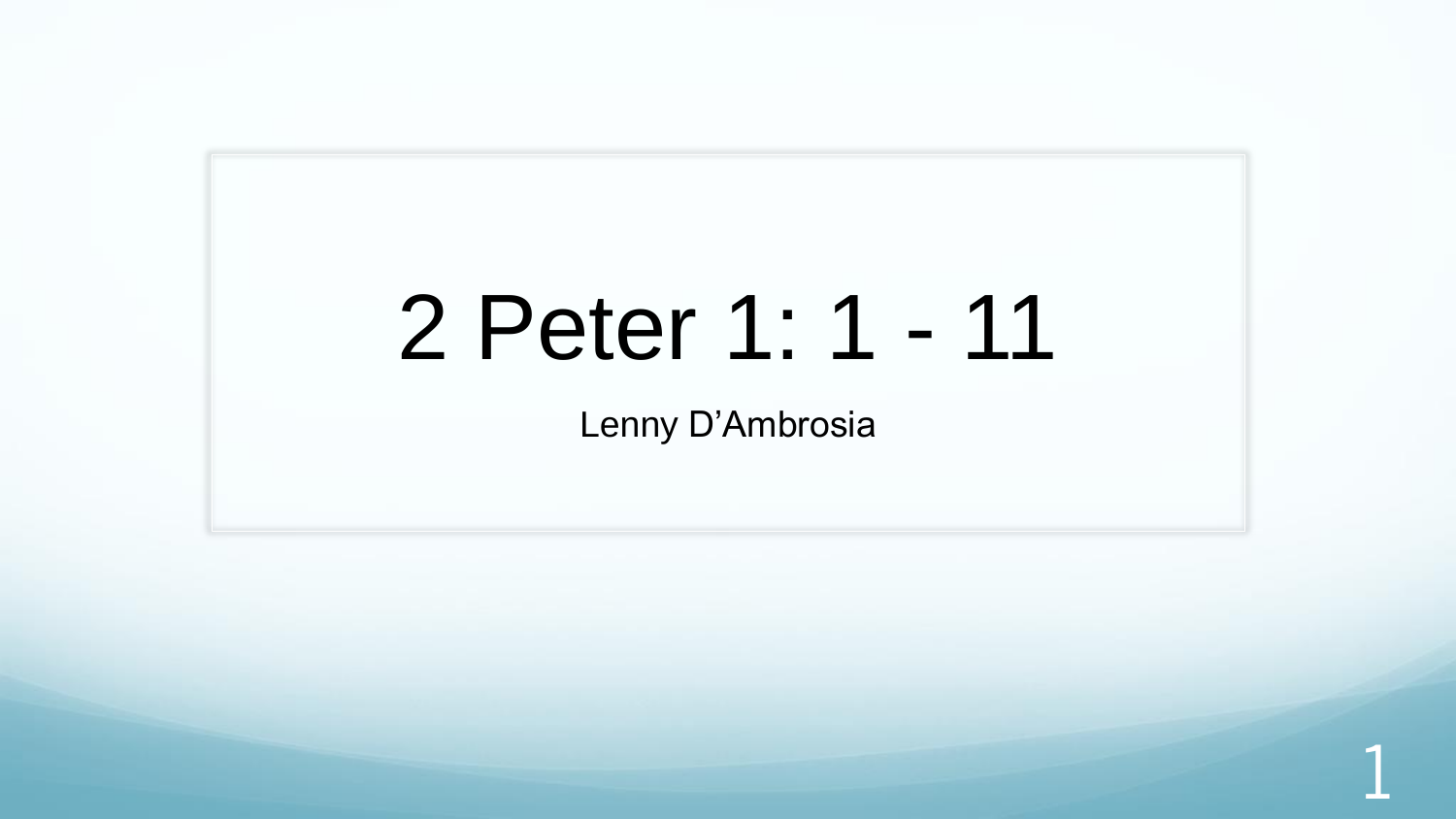# 2 Peter 1: 1 - 11

Lenny D'Ambrosia

1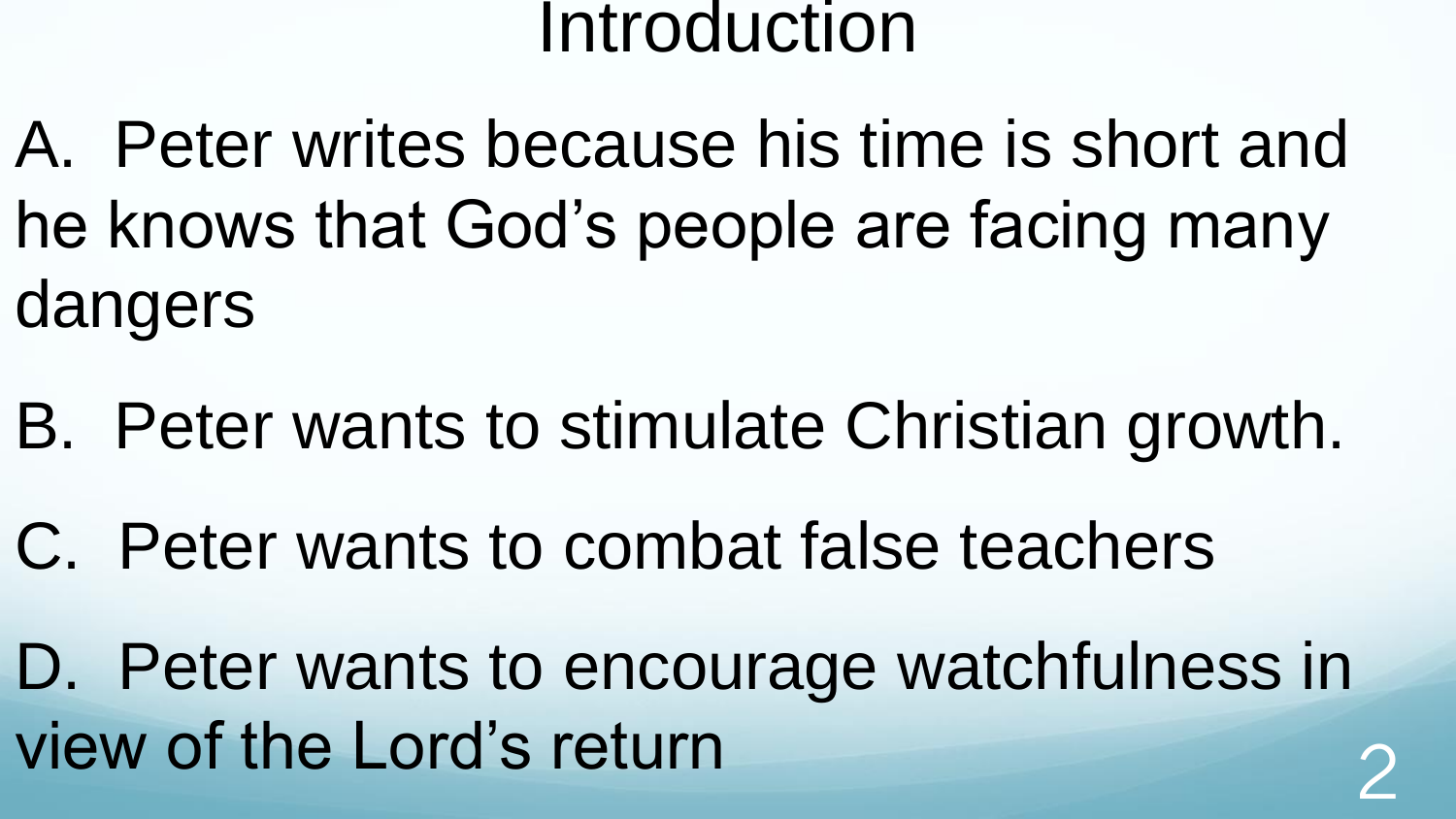### Introduction

A. Peter writes because his time is short and he knows that God's people are facing many dangers

B. Peter wants to stimulate Christian growth.

C. Peter wants to combat false teachers

D. Peter wants to encourage watchfulness in view of the Lord's return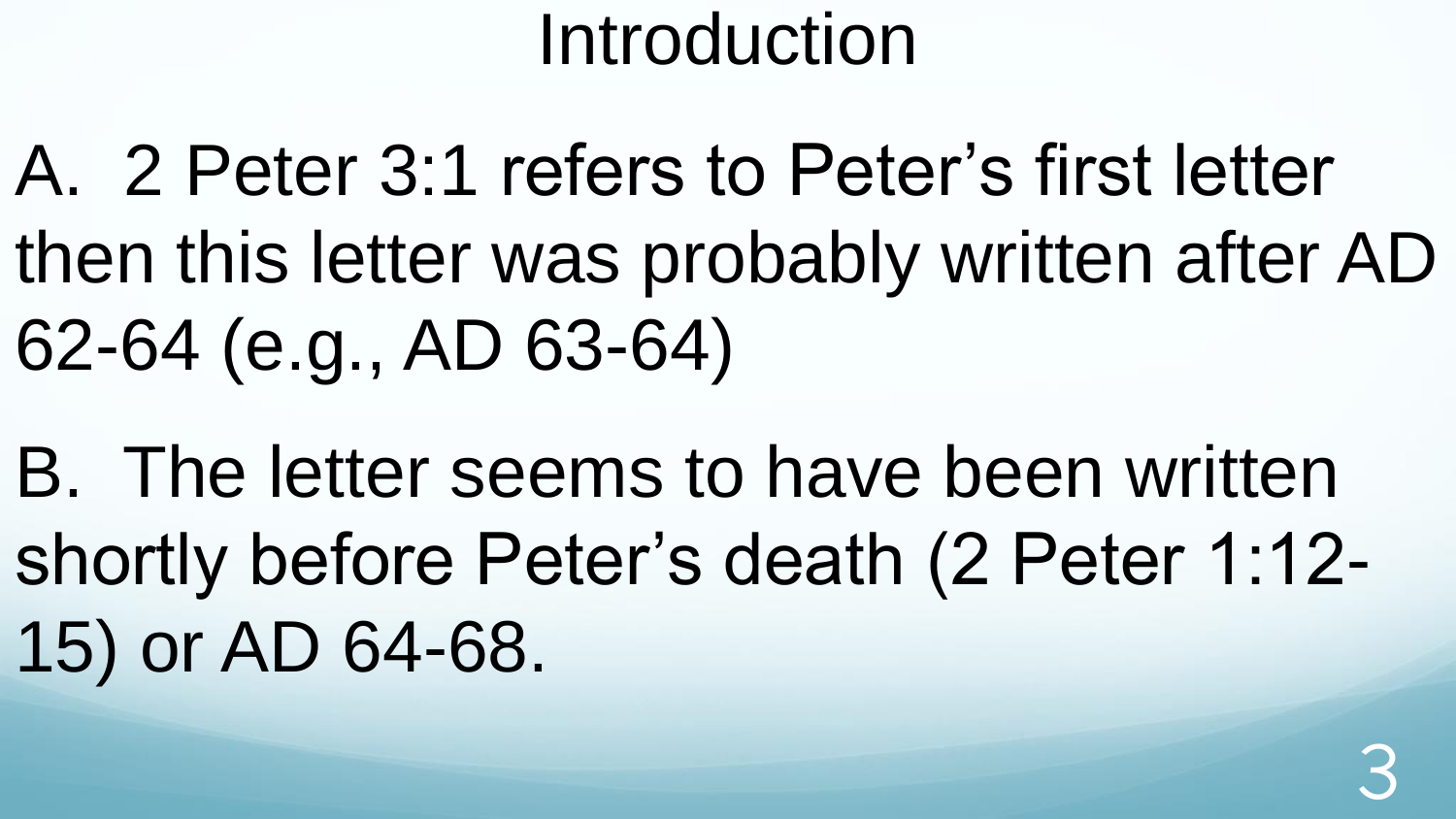### Introduction

A. 2 Peter 3:1 refers to Peter's first letter then this letter was probably written after AD 62-64 (e.g., AD 63-64)

B. The letter seems to have been written shortly before Peter's death (2 Peter 1:12- 15) or AD 64-68.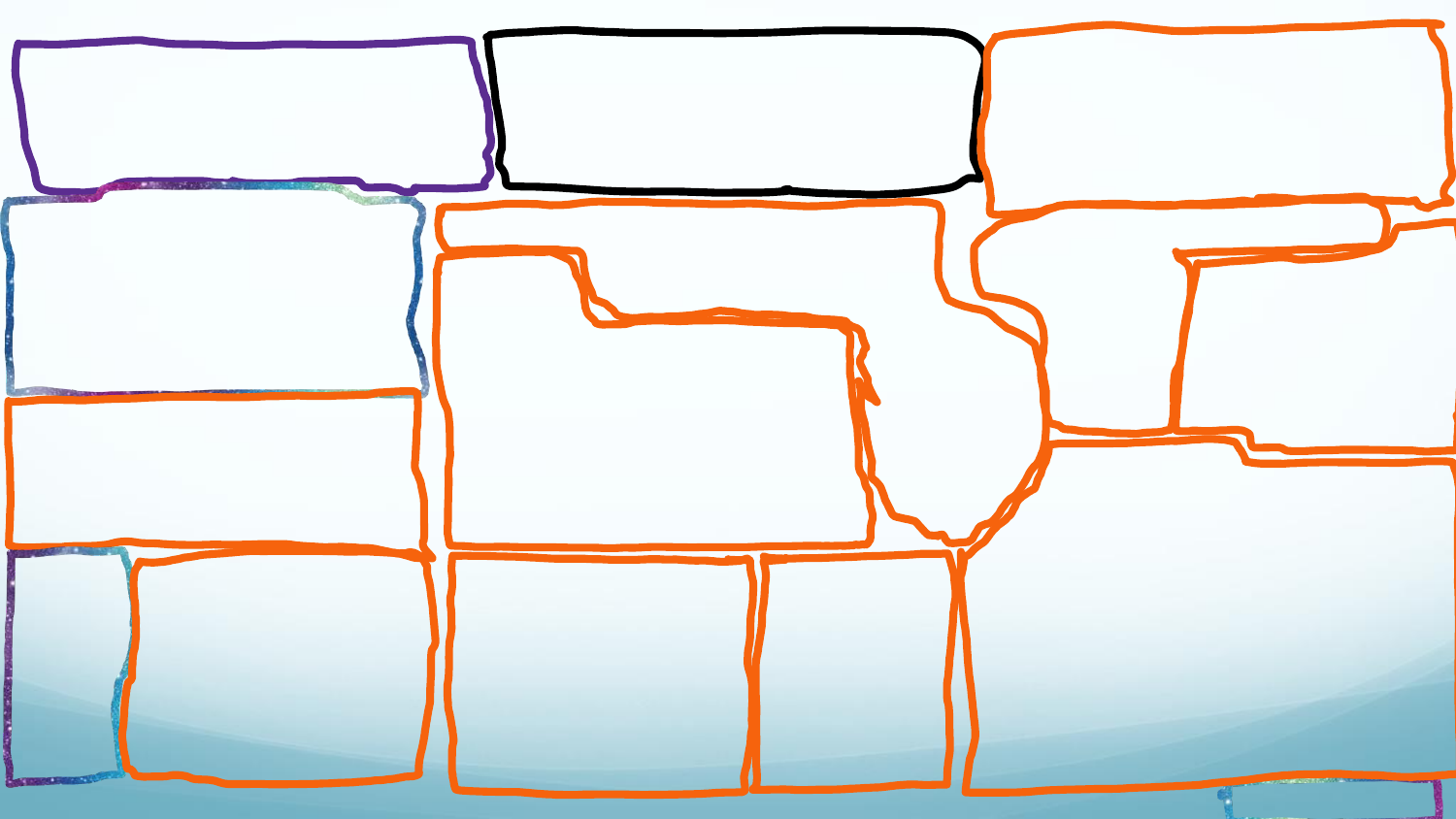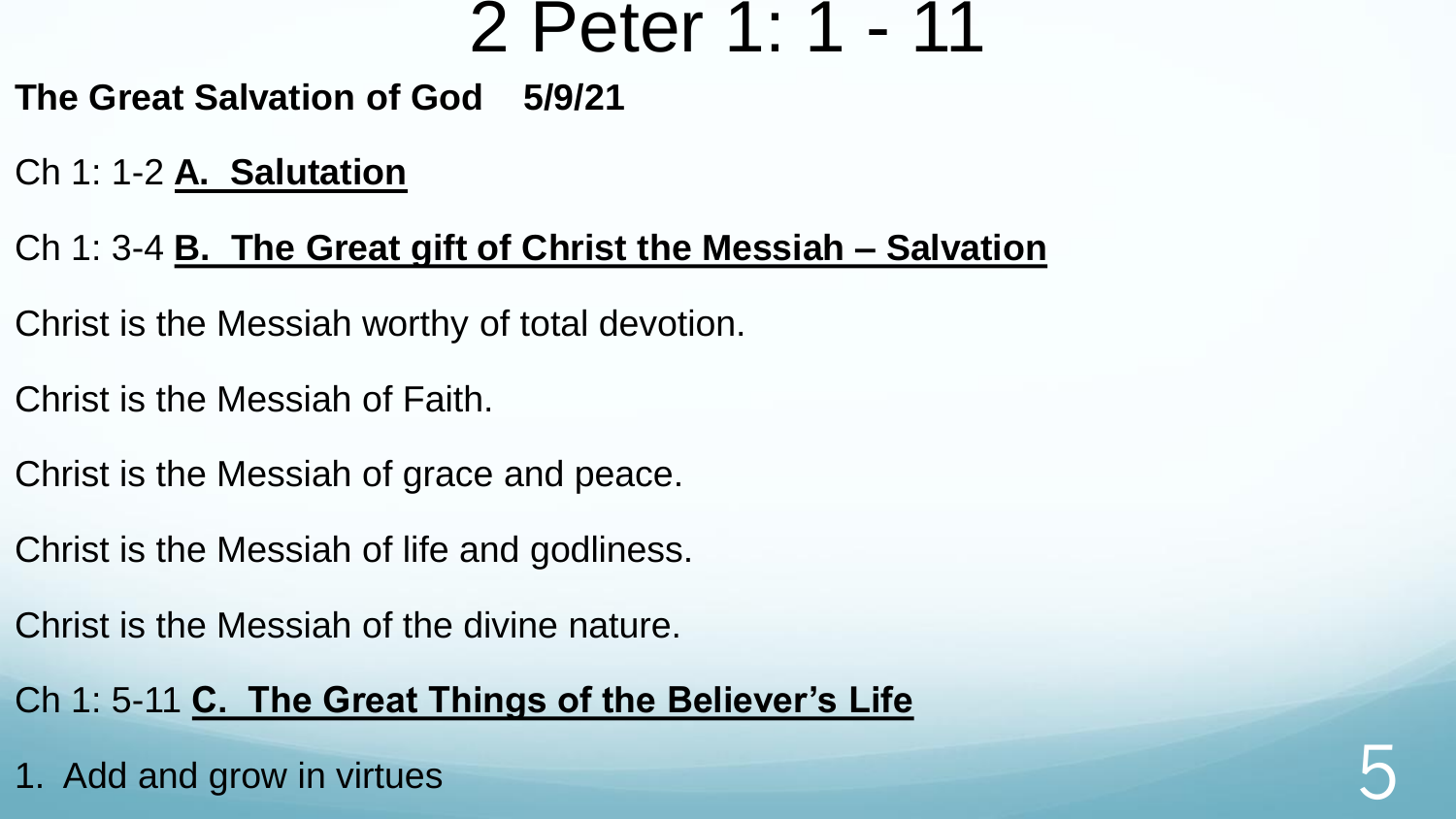#### 2 Peter 1: 1 - 11

**The Great Salvation of God 5/9/21**

Ch 1: 1-2 **A. Salutation**

Ch 1: 3-4 **B. The Great gift of Christ the Messiah – Salvation**

Christ is the Messiah worthy of total devotion.

Christ is the Messiah of Faith.

Christ is the Messiah of grace and peace.

Christ is the Messiah of life and godliness.

Christ is the Messiah of the divine nature.

Ch 1: 5-11 **C. The Great Things of the Believer's Life**

1. Add and grow in virtues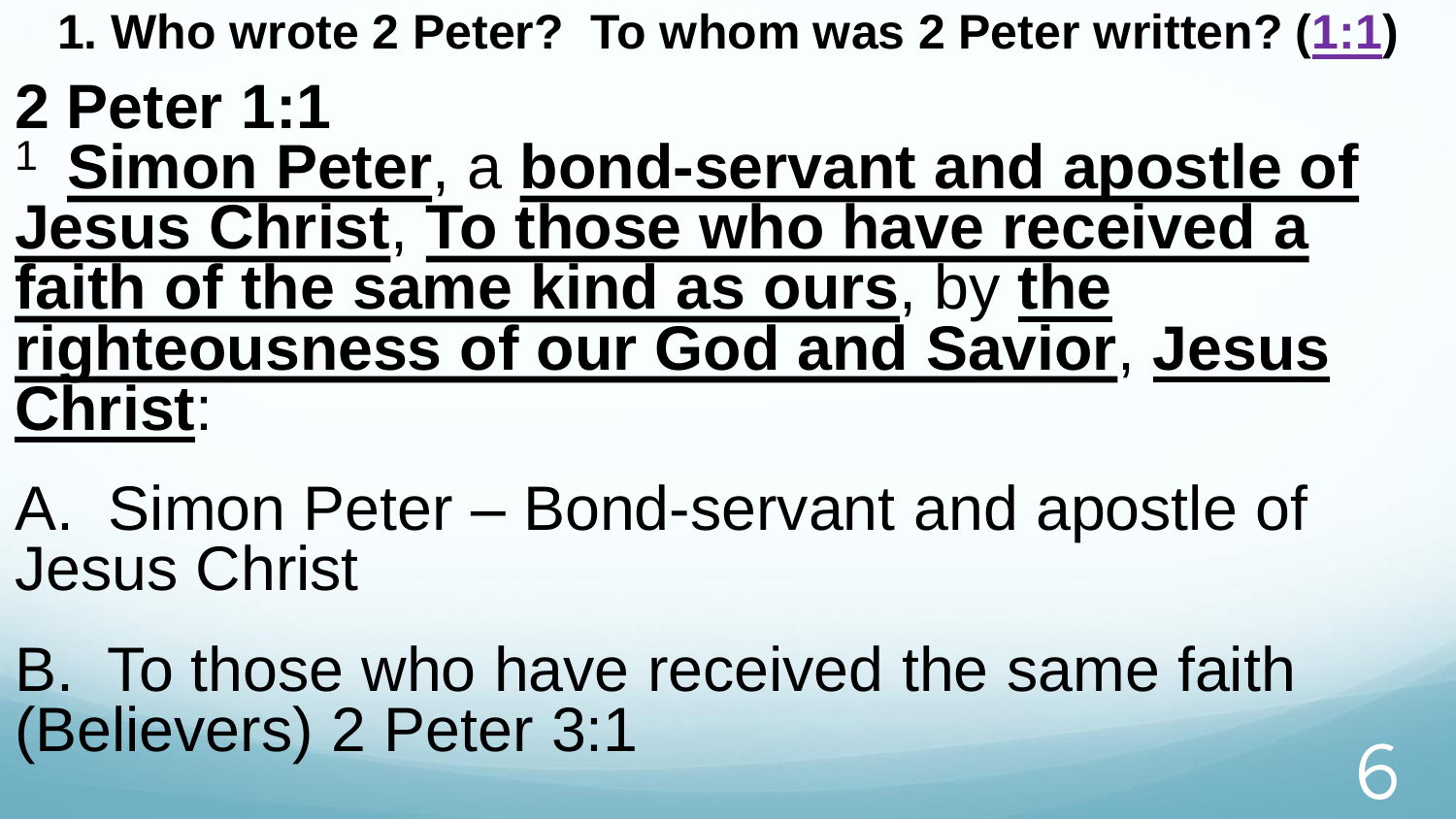- **2 Peter 1:1**
- <sup>1</sup>**Simon Peter**, a **bond-servant and apostle of Jesus Christ**, **To those who have received a faith of the same kind as ours**, by **the righteousness of our God and Savior**, **Jesus Christ**:
- A. Simon Peter Bond-servant and apostle of Jesus Christ
- B. To those who have received the same faith (Believers) 2 Peter 3:1 <sup>6</sup>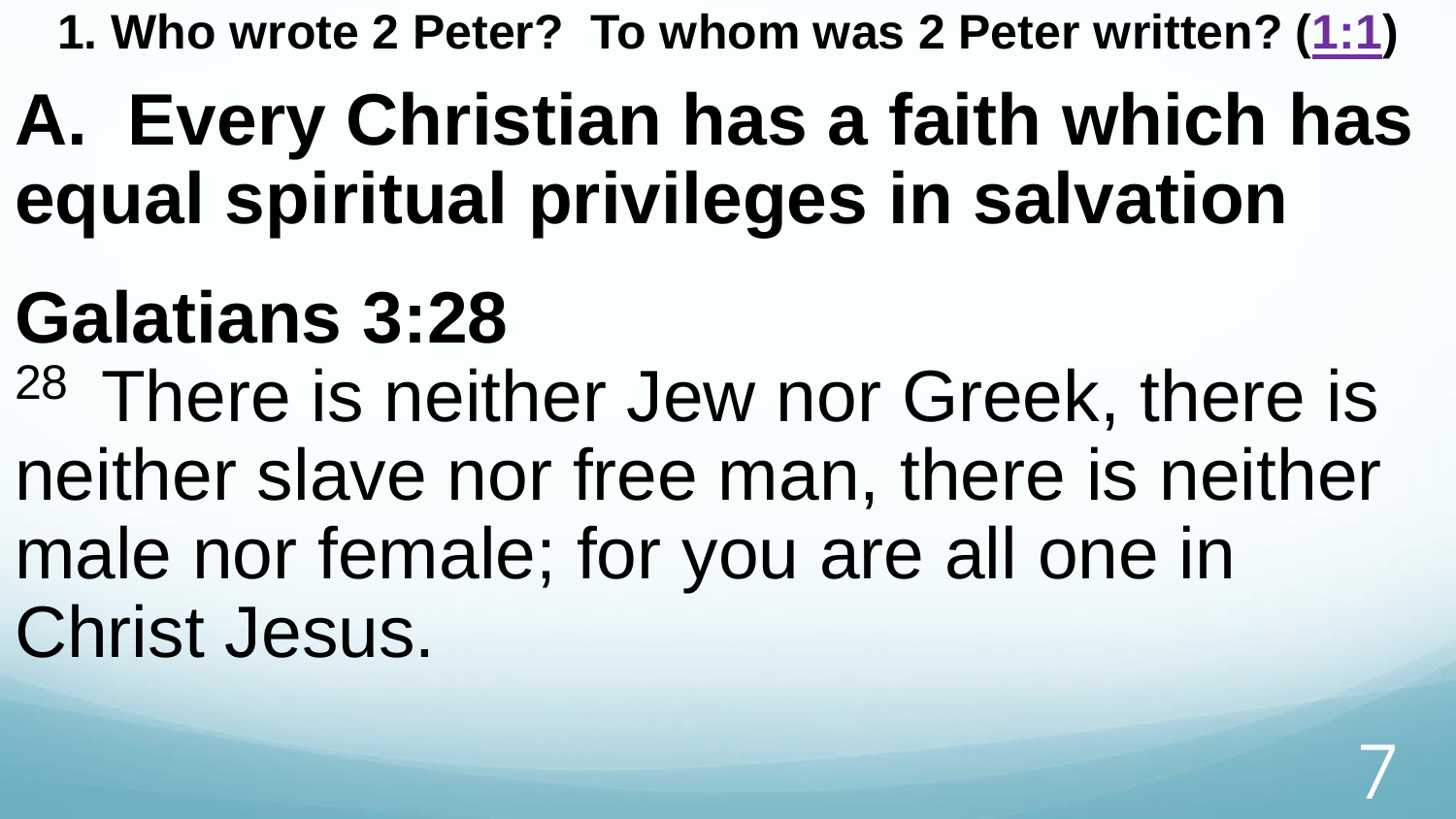# **A. Every Christian has a faith which has equal spiritual privileges in salvation**

# **Galatians 3:28**

<sup>28</sup> There is neither Jew nor Greek, there is neither slave nor free man, there is neither male nor female; for you are all one in Christ Jesus.

7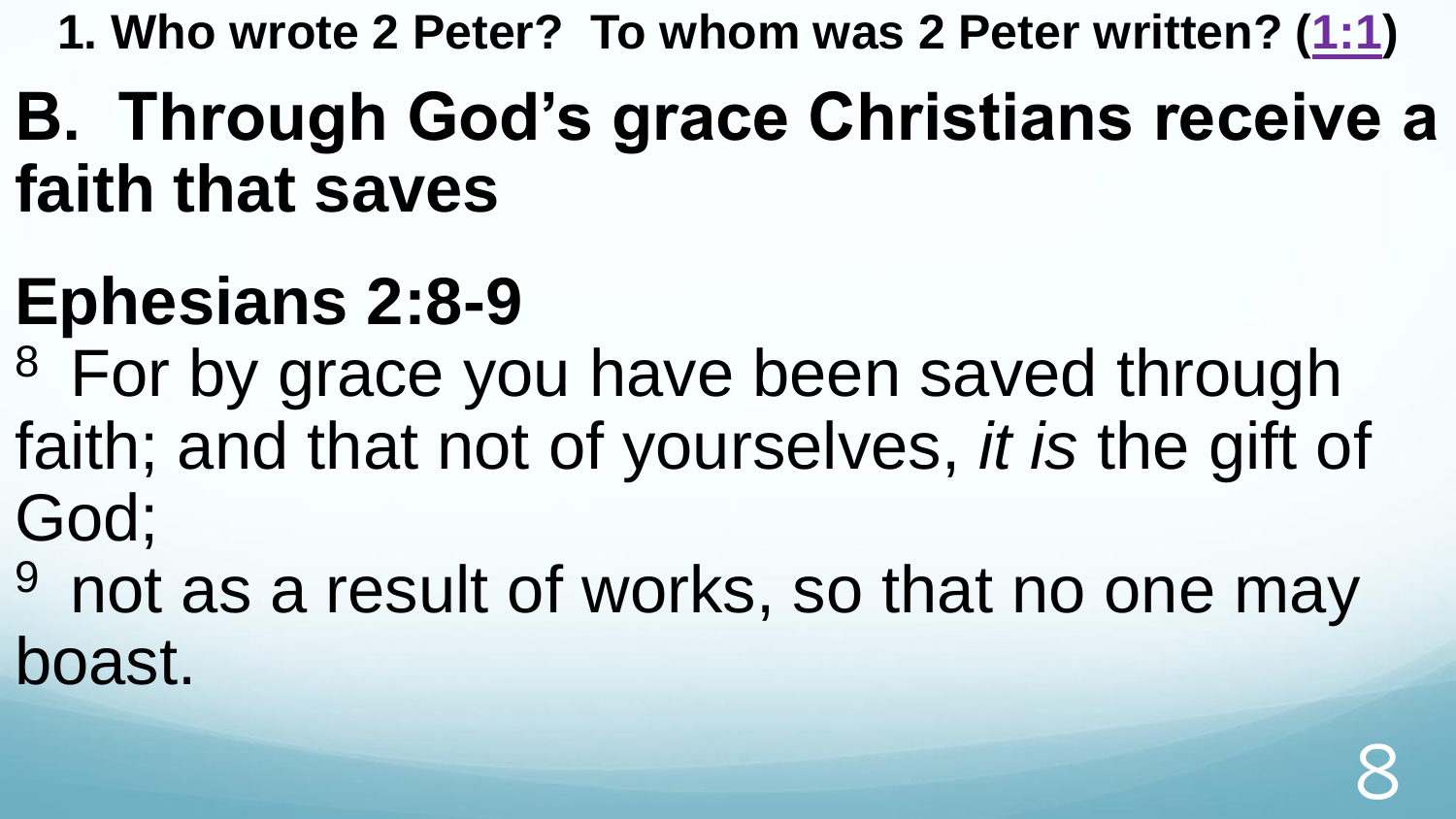### **B. Through God's grace Christians receive a faith that saves**

### **Ephesians 2:8-9**

- <sup>8</sup> For by grace you have been saved through faith; and that not of yourselves, *it is* the gift of God;
- <sup>9</sup> not as a result of works, so that no one may boast.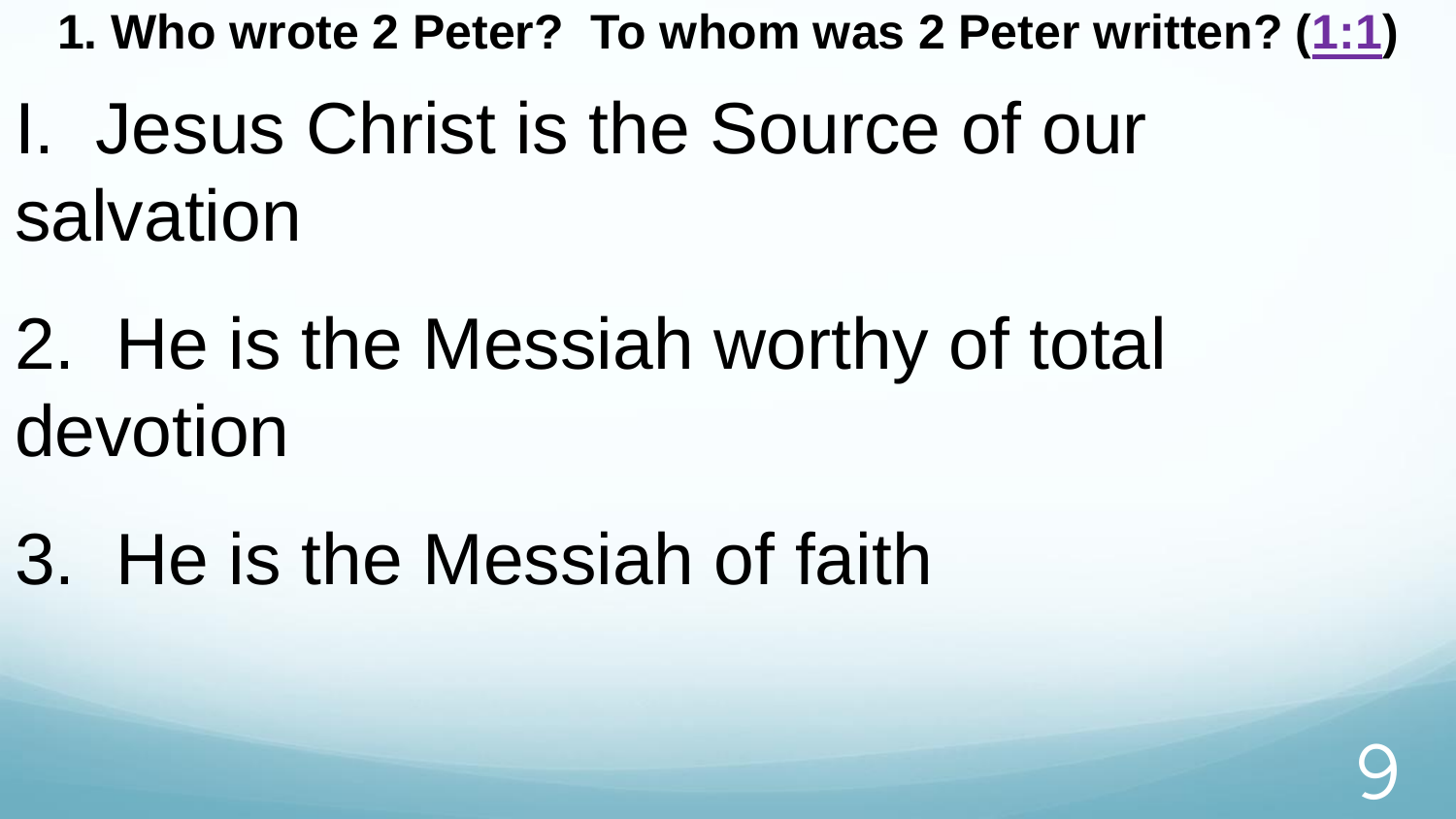- I. Jesus Christ is the Source of our salvation
- 2. He is the Messiah worthy of total devotion
- 3. He is the Messiah of faith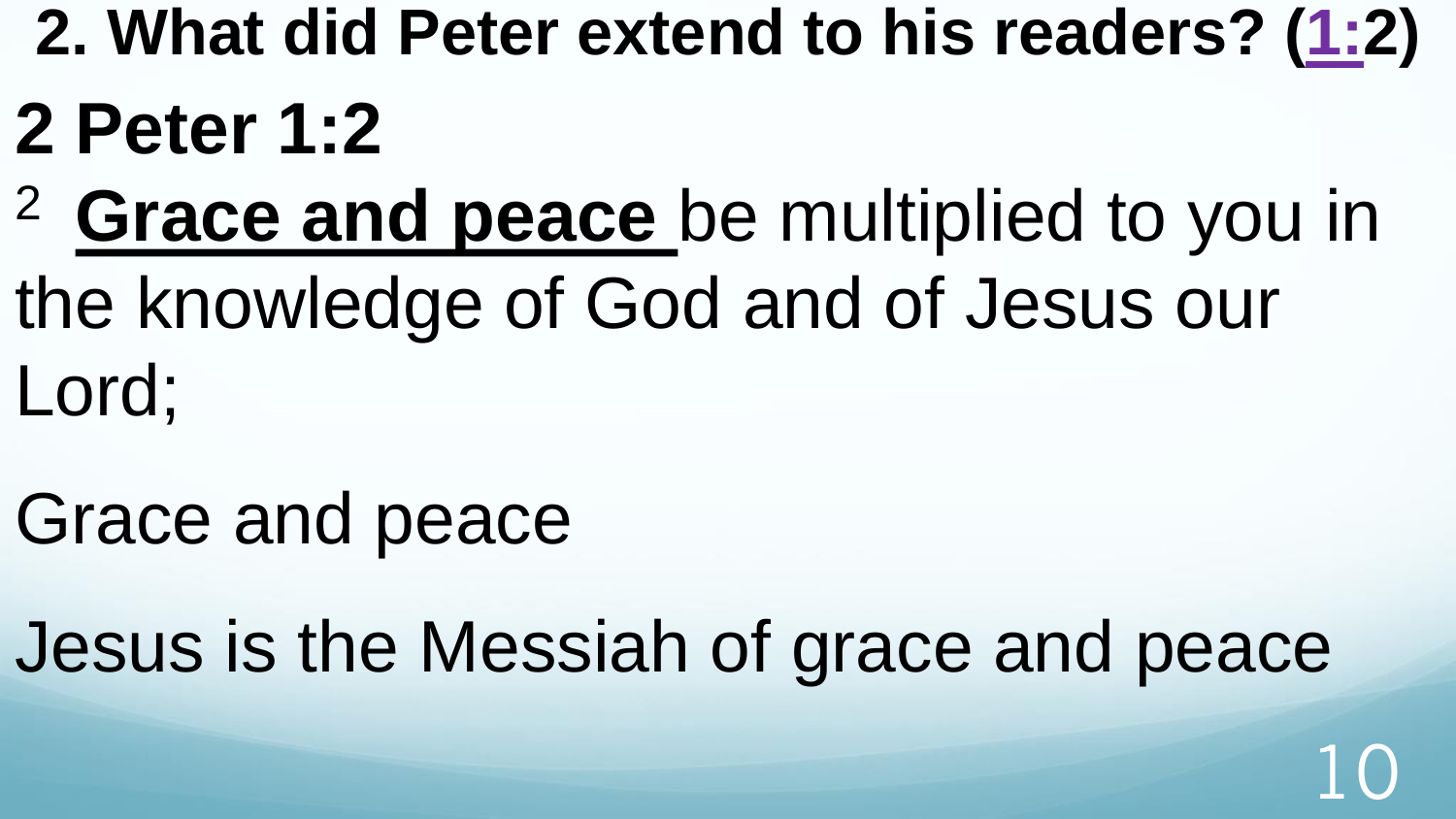**2. What did Peter extend to his readers? ([1:](http://www.crossbooks.com/verse.asp?ref=2Pe+1%3A3)2)**

# **2 Peter 1:2**

- <sup>2</sup>**Grace and peace** be multiplied to you in the knowledge of God and of Jesus our Lord;
- Grace and peace
- Jesus is the Messiah of grace and peace

10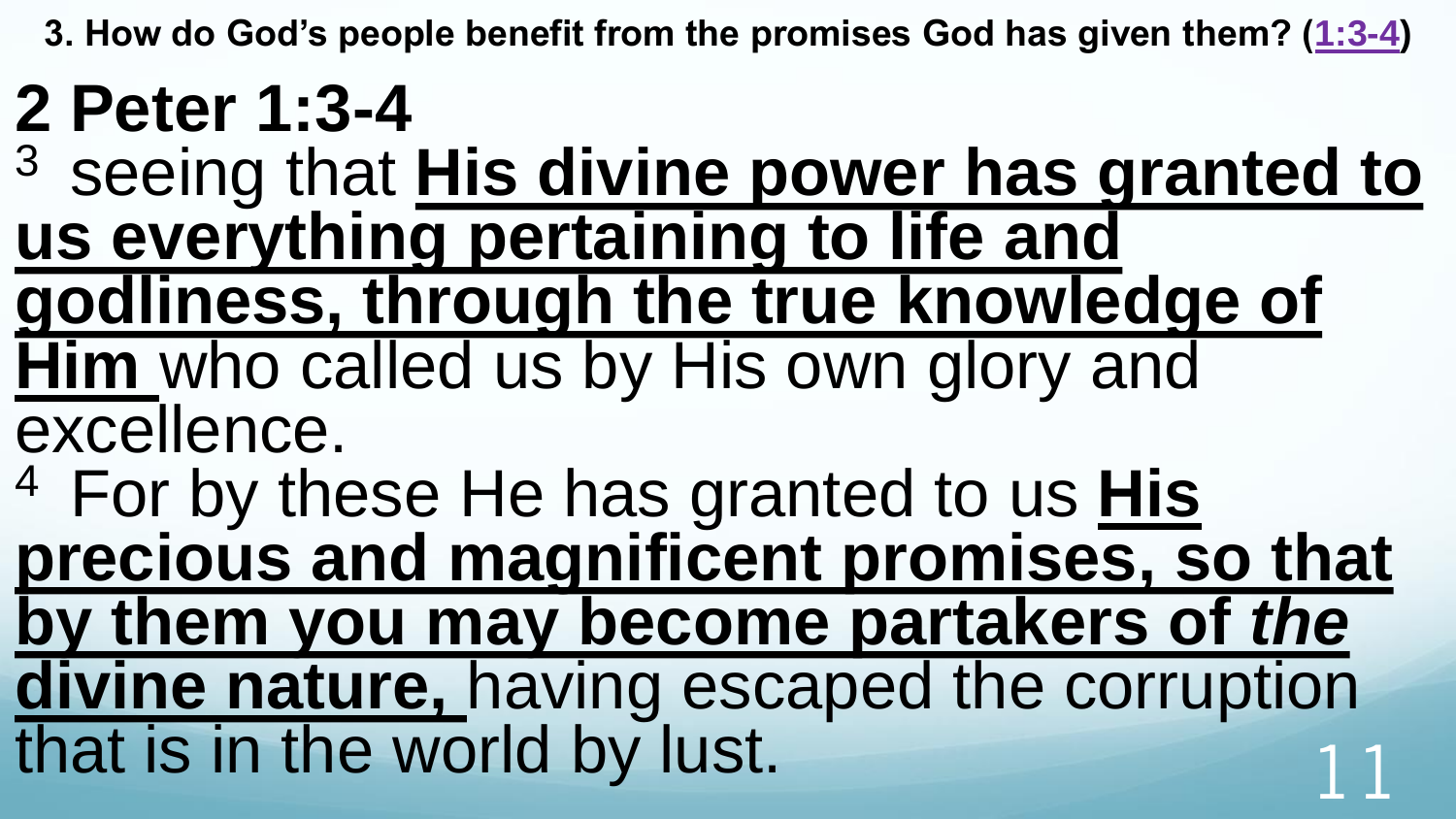**3. How do God's people benefit from the promises God has given them? [\(1:3-4](http://www.crossbooks.com/verse.asp?ref=2Pe+1%3A4))**

### **2 Peter 1:3-4**

- <sup>3</sup> seeing that **His divine power has granted to us everything pertaining to life and godliness, through the true knowledge of Him** who called us by His own glory and excellence.
- <sup>4</sup> For by these He has granted to us **His precious and magnificent promises, so that by them you may become partakers of** *the* **divine nature,** having escaped the corruption that is in the world by lust.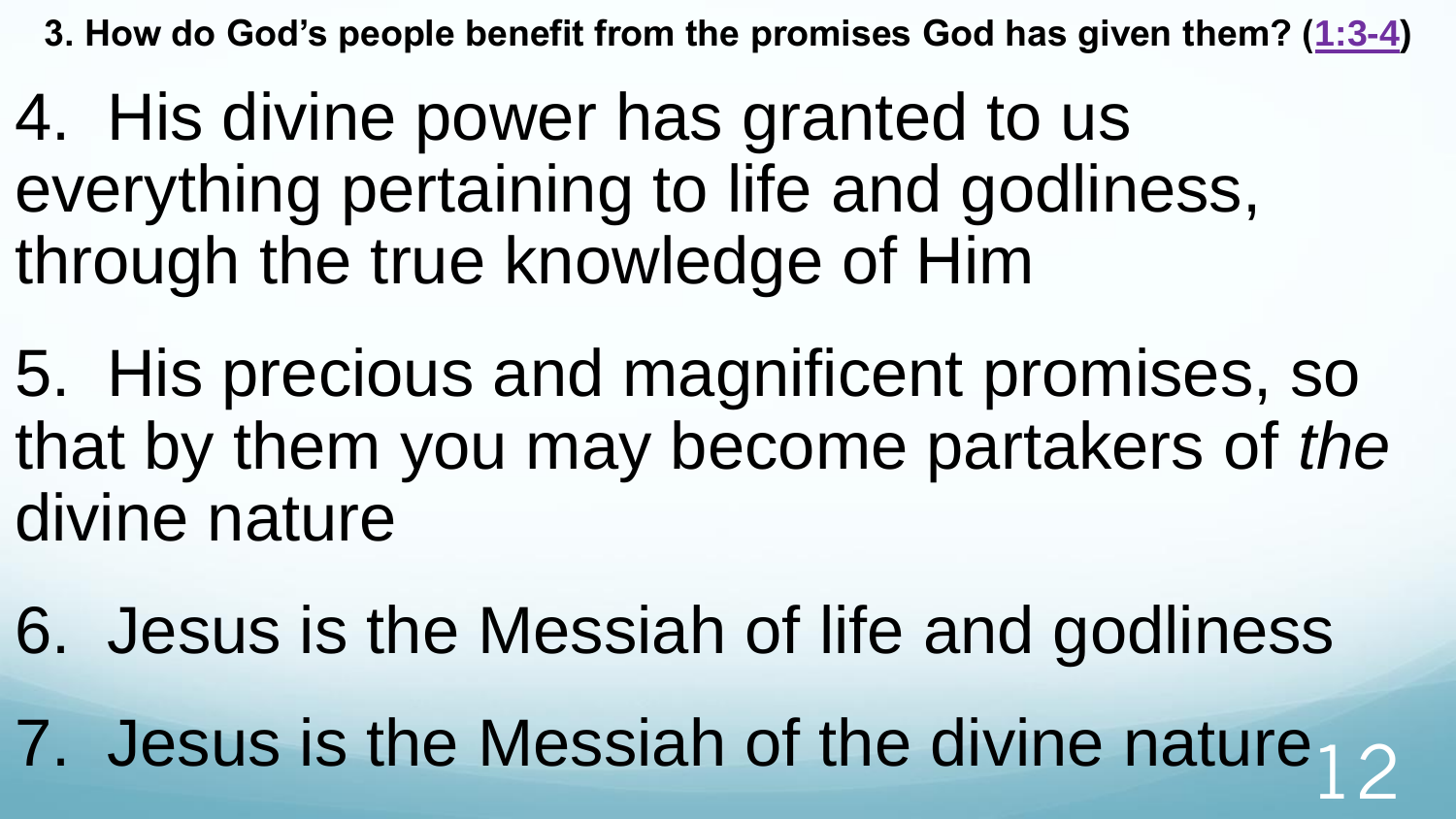**3. How do God's people benefit from the promises God has given them? [\(1:3-4](http://www.crossbooks.com/verse.asp?ref=2Pe+1%3A4))**

4. His divine power has granted to us everything pertaining to life and godliness, through the true knowledge of Him

5. His precious and magnificent promises, so that by them you may become partakers of *the* divine nature

6. Jesus is the Messiah of life and godliness

7. Jesus is the Messiah of the divine nature  $\sim$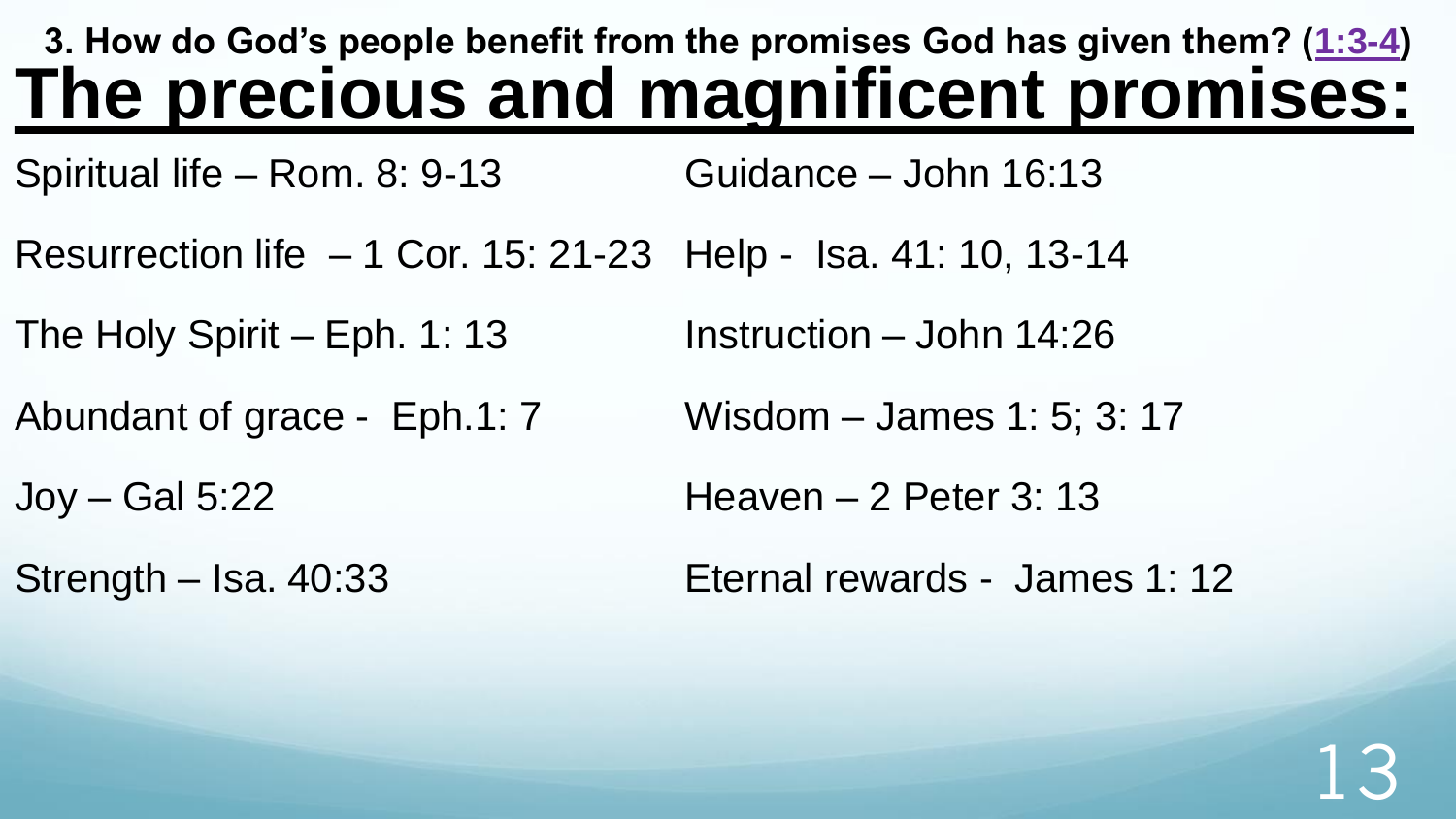#### **3. How do God's people benefit from the promises God has given them? [\(1:3-4](http://www.crossbooks.com/verse.asp?ref=2Pe+1%3A4)) The precious and magnificent promises:**

Spiritual life – Rom. 8: 9-13 Guidance – John 16:13

Resurrection life – 1 Cor. 15: 21-23 Help - Isa. 41: 10, 13-14

The Holy Spirit – Eph. 1: 13 Instruction – John 14:26

- Abundant of grace Eph.1: 7
- Joy Gal 5:22

Strength – Isa. 40:33

Wisdom – James 1: 5; 3: 17

Heaven – 2 Peter 3: 13

Eternal rewards - James 1: 12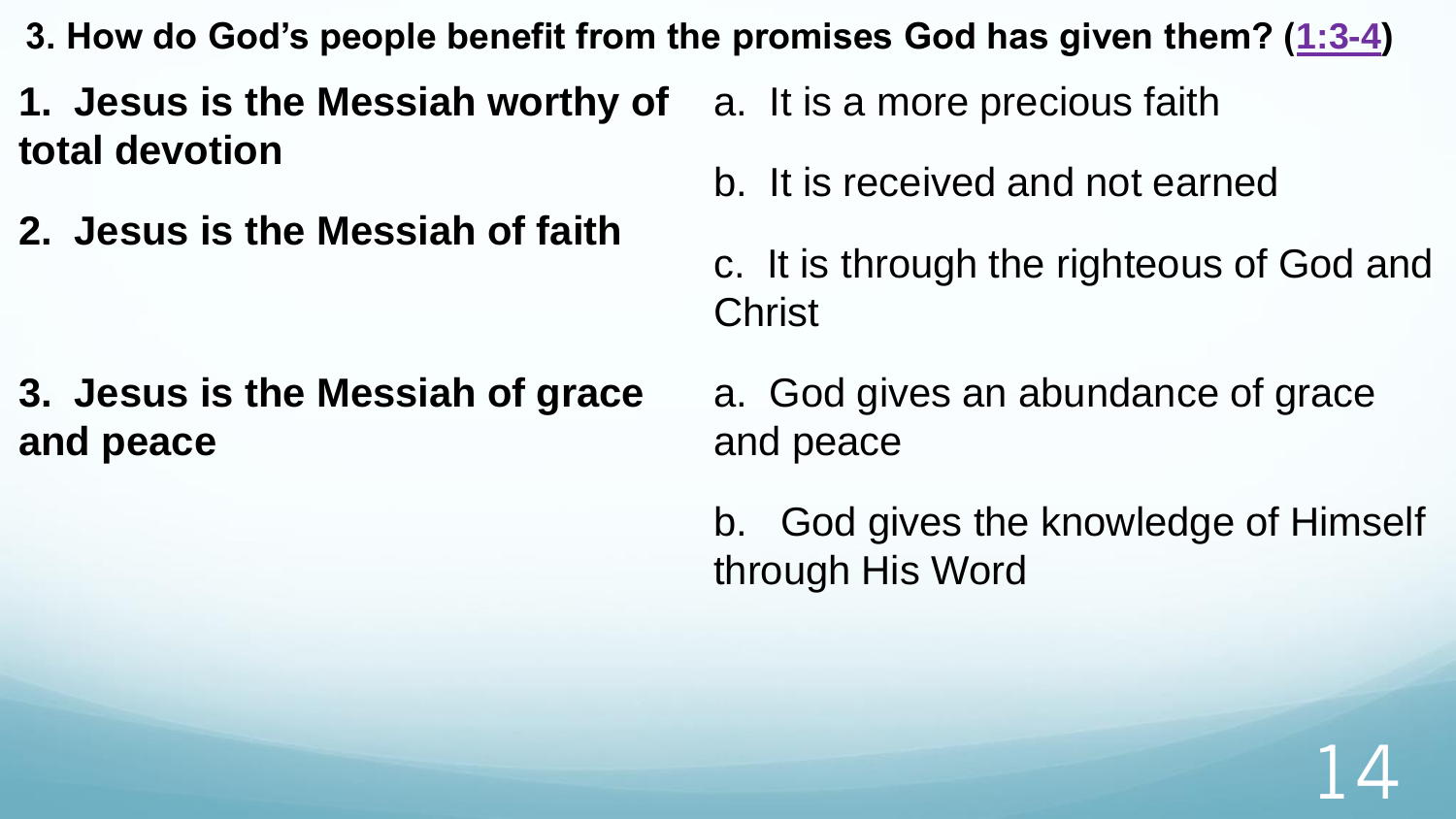**3. How do God's people benefit from the promises God has given them? ([1:3-4](http://www.crossbooks.com/verse.asp?ref=2Pe+1%3A4))**

- **1. Jesus is the Messiah worthy of total devotion**
- **2. Jesus is the Messiah of faith**

**3. Jesus is the Messiah of grace and peace**

- a. It is a more precious faith
- b. It is received and not earned

c. It is through the righteous of God and Christ

a. God gives an abundance of grace and peace

b. God gives the knowledge of Himself through His Word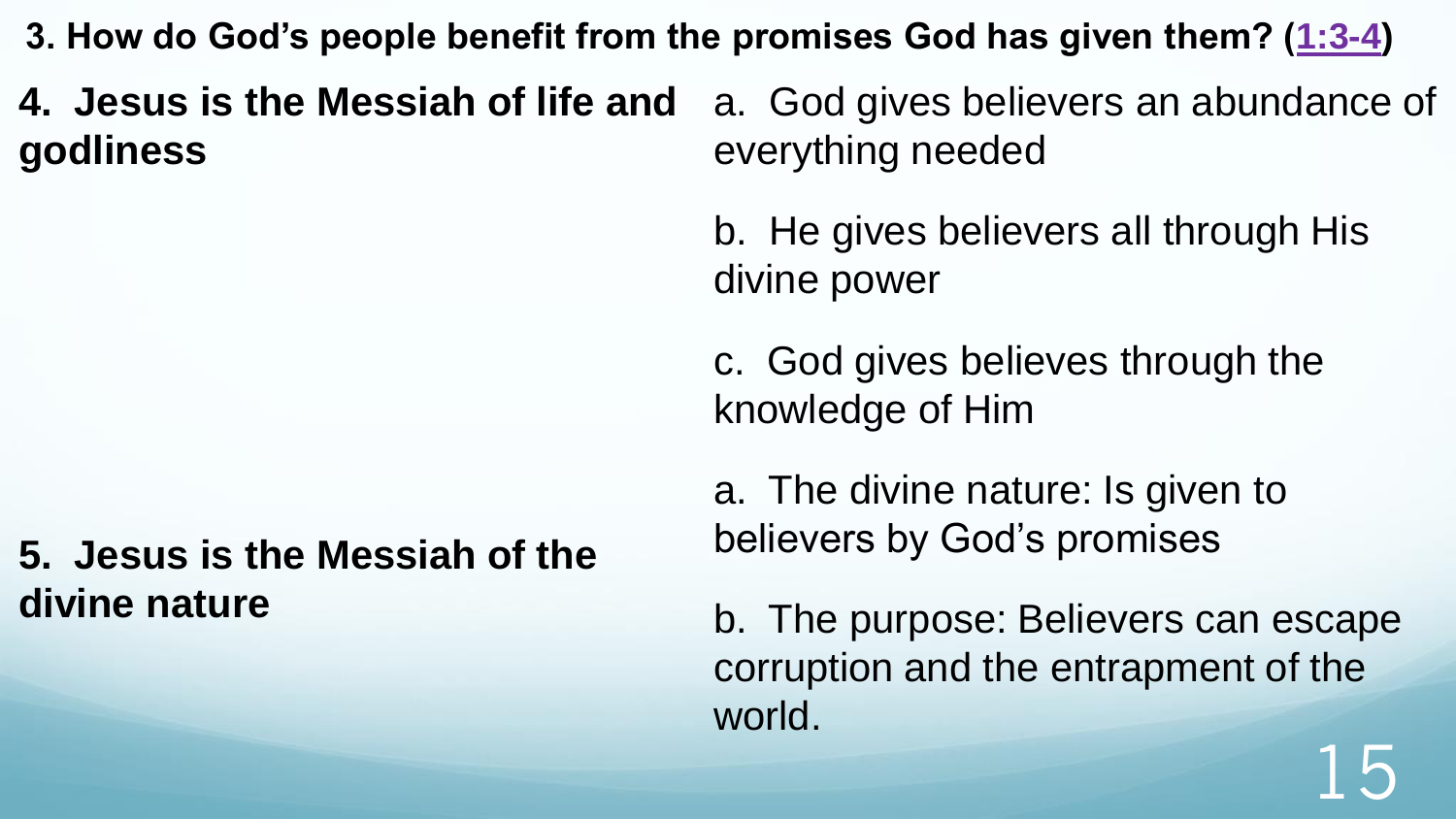**3. How do God's people benefit from the promises God has given them? ([1:3-4](http://www.crossbooks.com/verse.asp?ref=2Pe+1%3A4))**

**4. Jesus is the Messiah of life and godliness** a. God gives believers an abundance of everything needed

> b. He gives believers all through His divine power

c. God gives believes through the knowledge of Him

a. The divine nature: Is given to believers by God's promises

b. The purpose: Believers can escape corruption and the entrapment of the world. 15

**5. Jesus is the Messiah of the divine nature**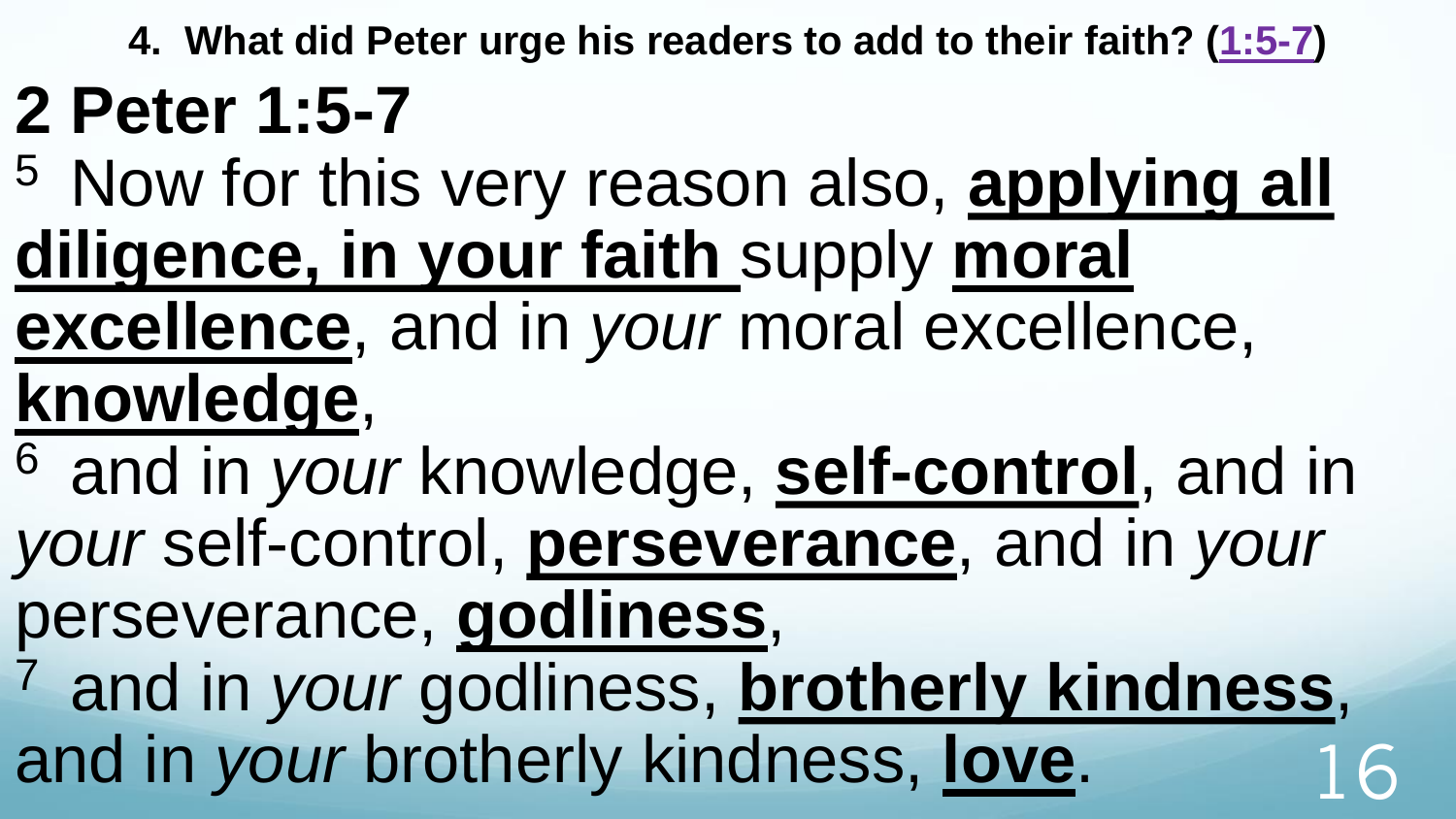**4. What did Peter urge his readers to add to their faith? ([1:5-7\)](http://www.crossbooks.com/verse.asp?ref=2Pe+1%3A5-7)**

### **2 Peter 1:5-7**

- <sup>5</sup> Now for this very reason also, **applying all diligence, in your faith** supply **moral excellence**, and in *your* moral excellence, **knowledge**,
- <sup>6</sup> and in *your* knowledge, **self-control**, and in *your* self-control, **perseverance**, and in *your* perseverance, **godliness**, <sup>7</sup>and in *your* godliness, **brotherly kindness**, and in *your* brotherly kindness, love.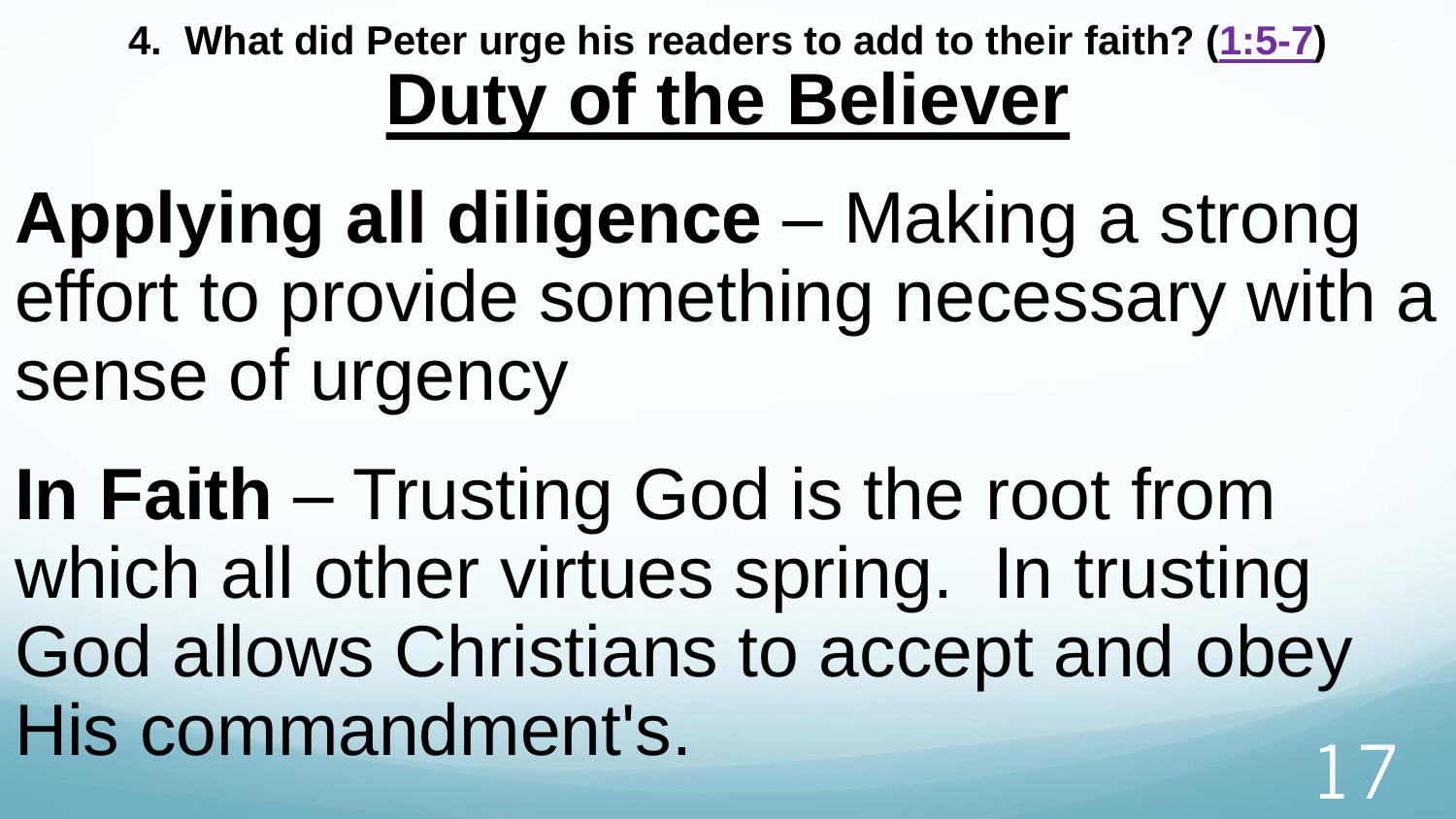#### **4. What did Peter urge his readers to add to their faith? ([1:5-7\)](http://www.crossbooks.com/verse.asp?ref=2Pe+1%3A5-7) Duty of the Believer**

- **Applying all diligence**  Making a strong effort to provide something necessary with a sense of urgency
- **In Faith** Trusting God is the root from which all other virtues spring. In trusting God allows Christians to accept and obey His commandment's.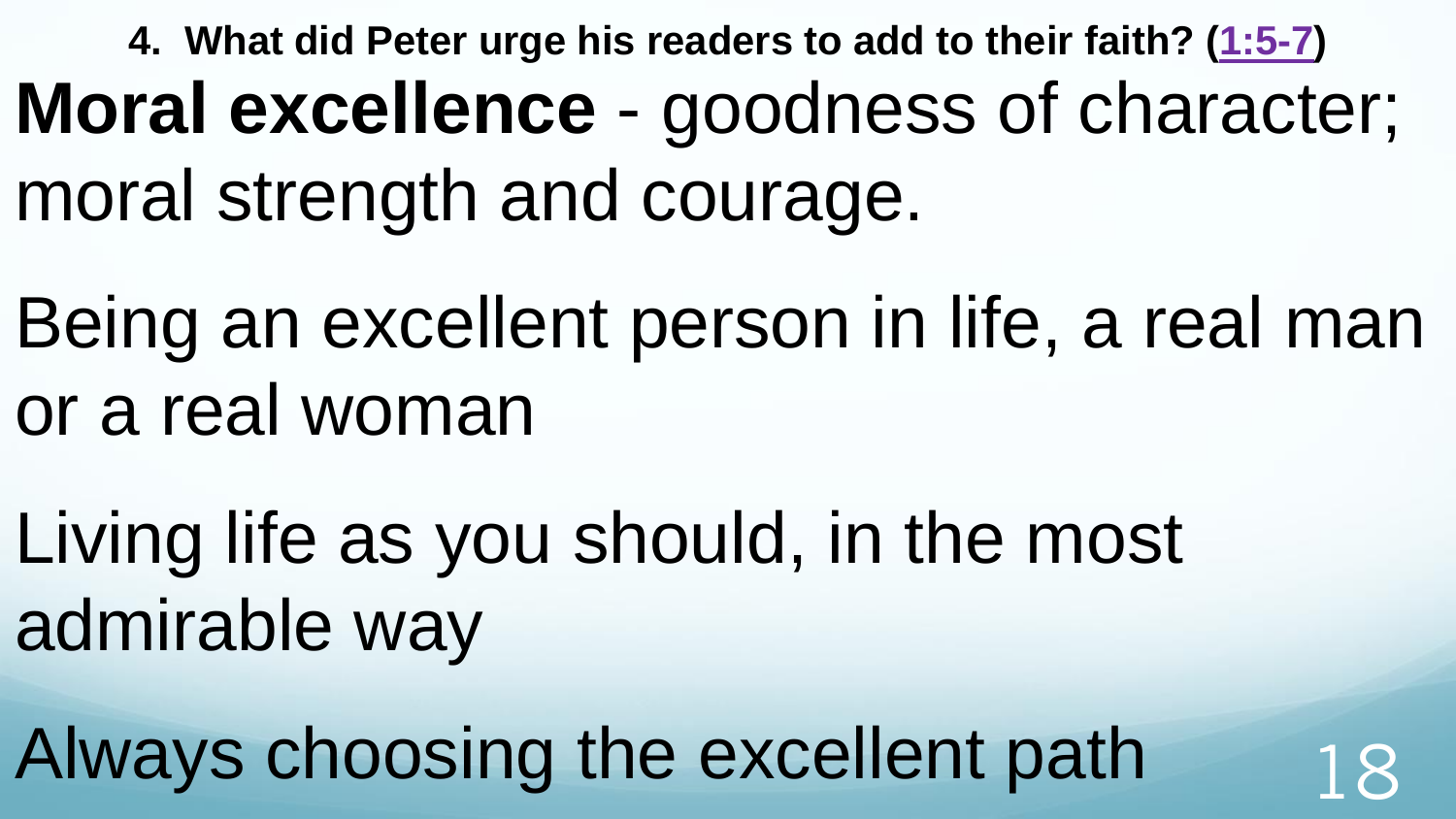**4. What did Peter urge his readers to add to their faith? ([1:5-7\)](http://www.crossbooks.com/verse.asp?ref=2Pe+1%3A5-7) Moral excellence** - goodness of character; moral strength and courage.

Being an excellent person in life, a real man or a real woman

Living life as you should, in the most admirable way

Always choosing the excellent path 18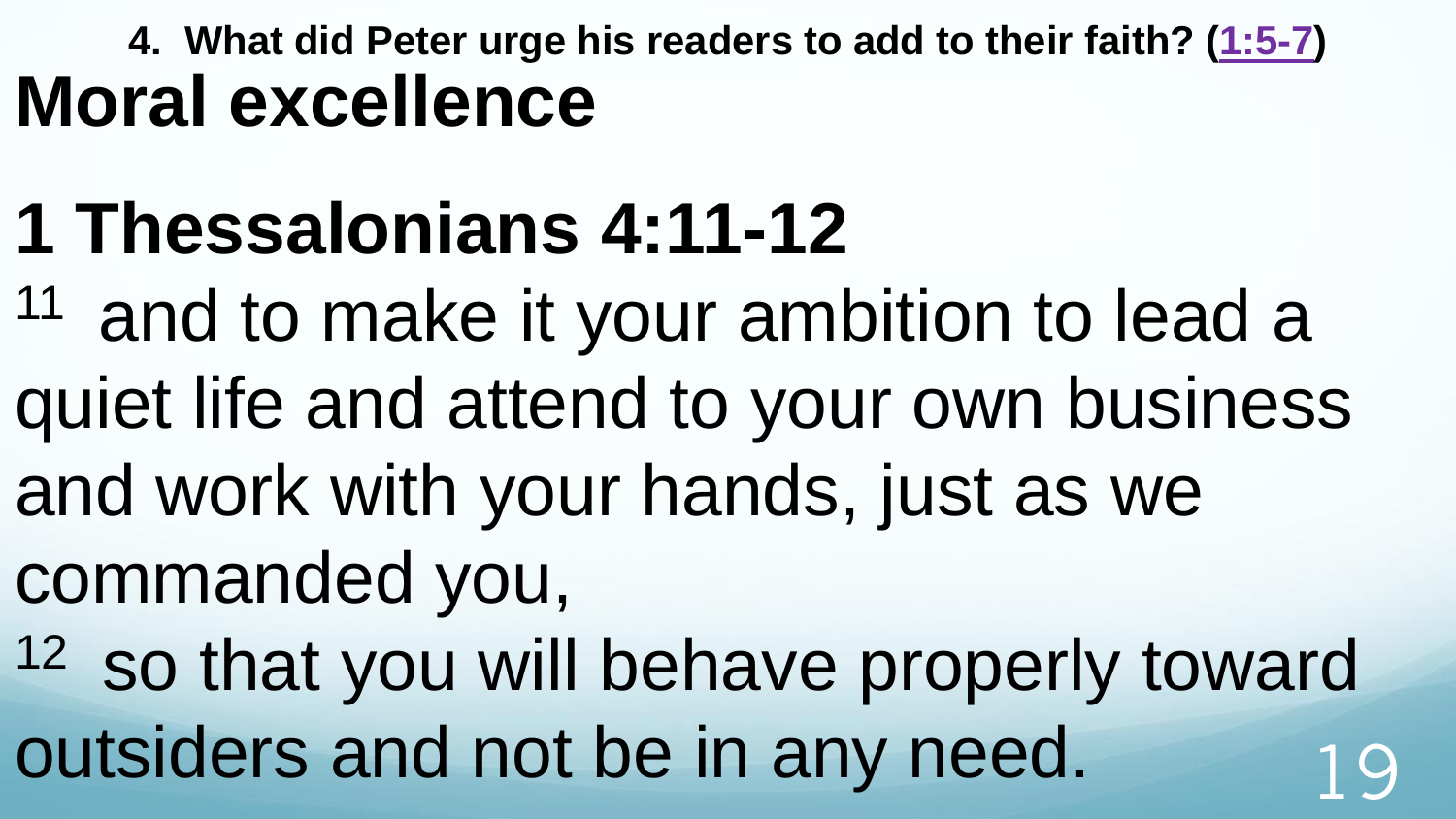**4. What did Peter urge his readers to add to their faith? ([1:5-7\)](http://www.crossbooks.com/verse.asp?ref=2Pe+1%3A5-7) Moral excellence**

# **1 Thessalonians 4:11-12**

- $11$  and to make it your ambition to lead a
- quiet life and attend to your own business and work with your hands, just as we
- commanded you,
- <sup>12</sup> so that you will behave properly toward outsiders and not be in any need.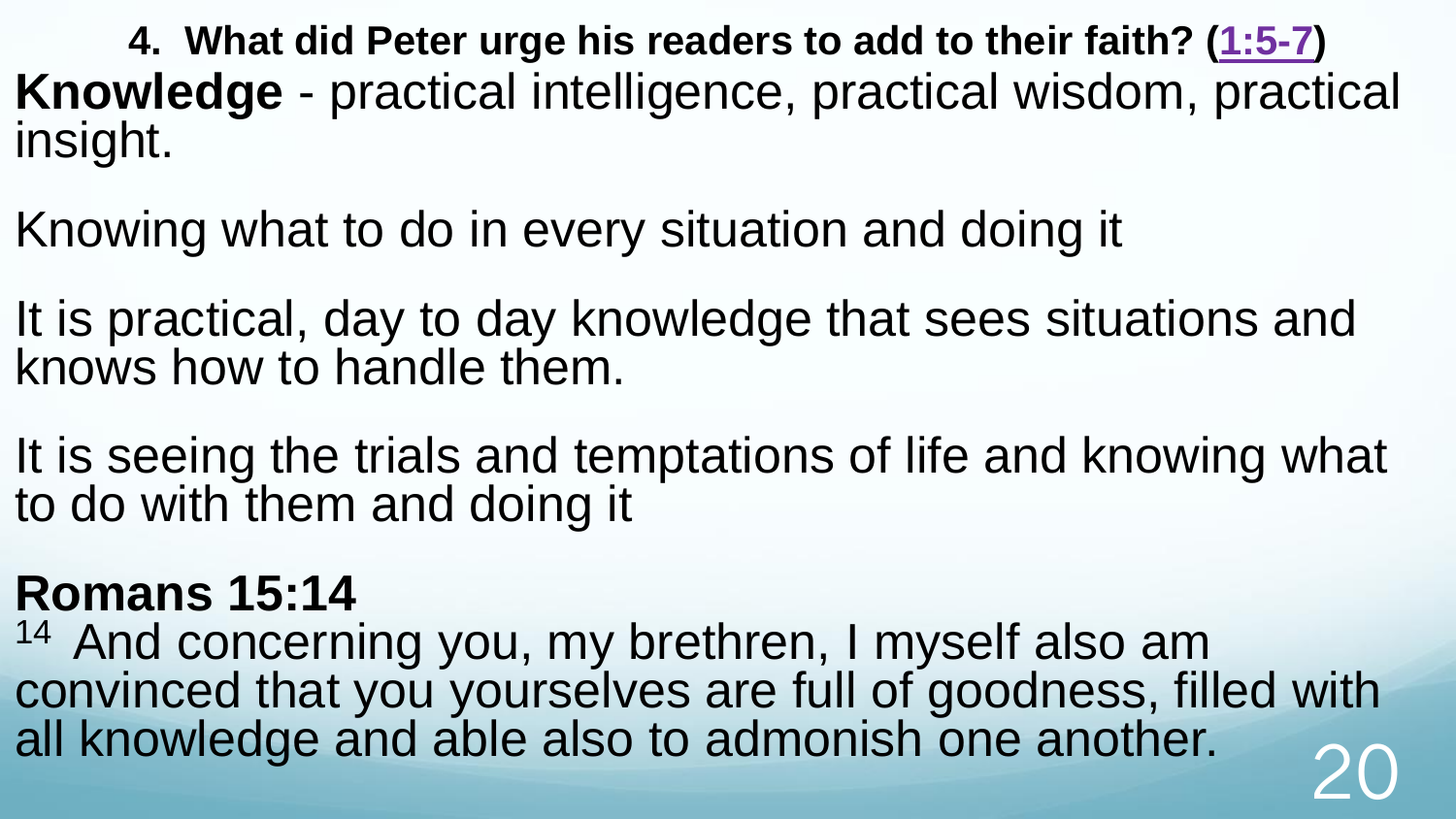**4. What did Peter urge his readers to add to their faith? ([1:5-7\)](http://www.crossbooks.com/verse.asp?ref=2Pe+1%3A5-7) Knowledge** - practical intelligence, practical wisdom, practical insight.

Knowing what to do in every situation and doing it

It is practical, day to day knowledge that sees situations and knows how to handle them.

It is seeing the trials and temptations of life and knowing what to do with them and doing it

#### **Romans 15:14**

<sup>14</sup> And concerning you, my brethren, I myself also am convinced that you yourselves are full of goodness, filled with all knowledge and able also to admonish one another.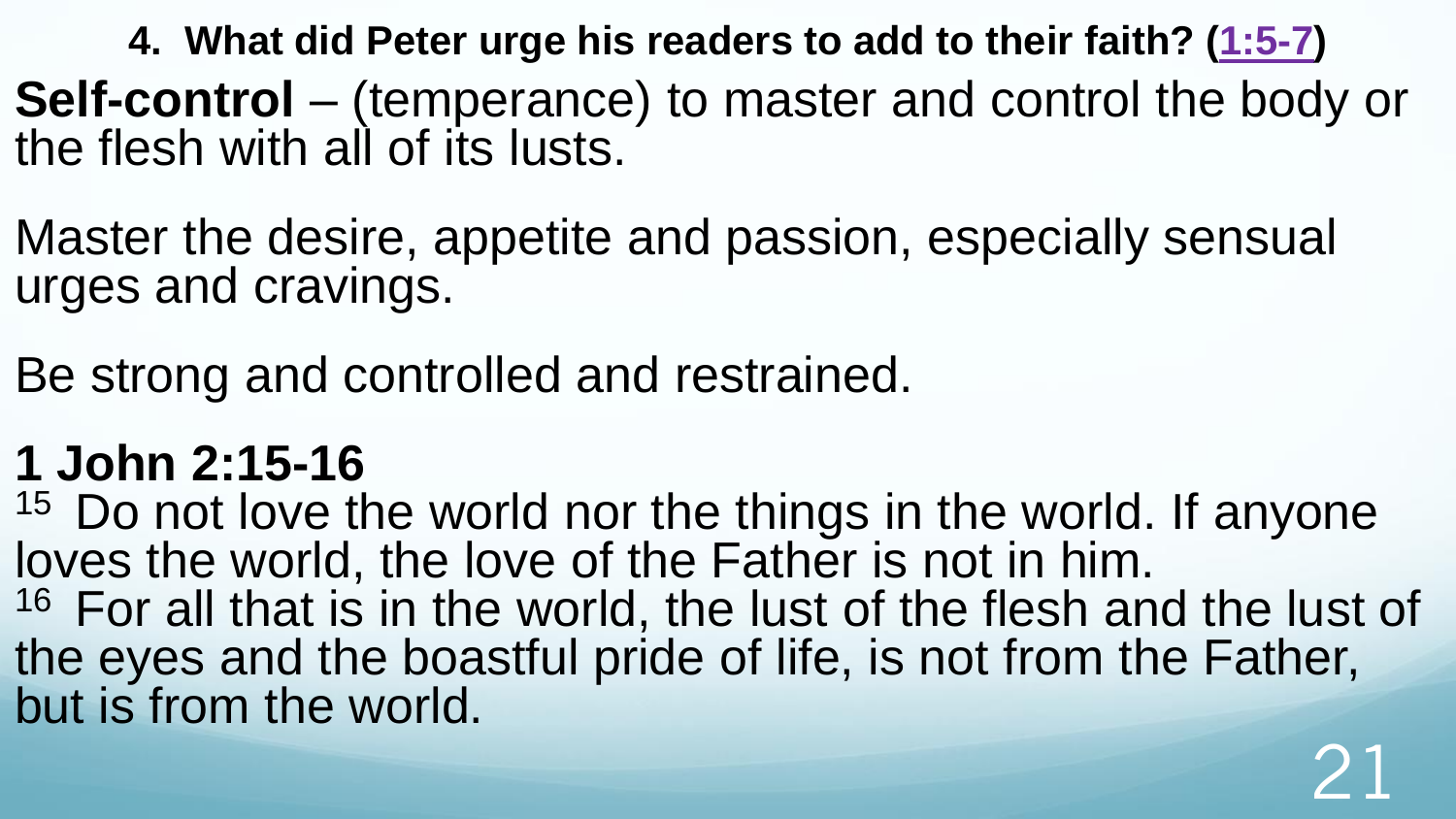**4. What did Peter urge his readers to add to their faith? ([1:5-7\)](http://www.crossbooks.com/verse.asp?ref=2Pe+1%3A5-7) Self-control** – (temperance) to master and control the body or

the flesh with all of its lusts.

Master the desire, appetite and passion, especially sensual urges and cravings.

Be strong and controlled and restrained.

#### **1 John 2:15-16**

<sup>15</sup> Do not love the world nor the things in the world. If anyone loves the world, the love of the Father is not in him.  $16$  For all that is in the world, the lust of the flesh and the lust of the eyes and the boastful pride of life, is not from the Father, but is from the world.

21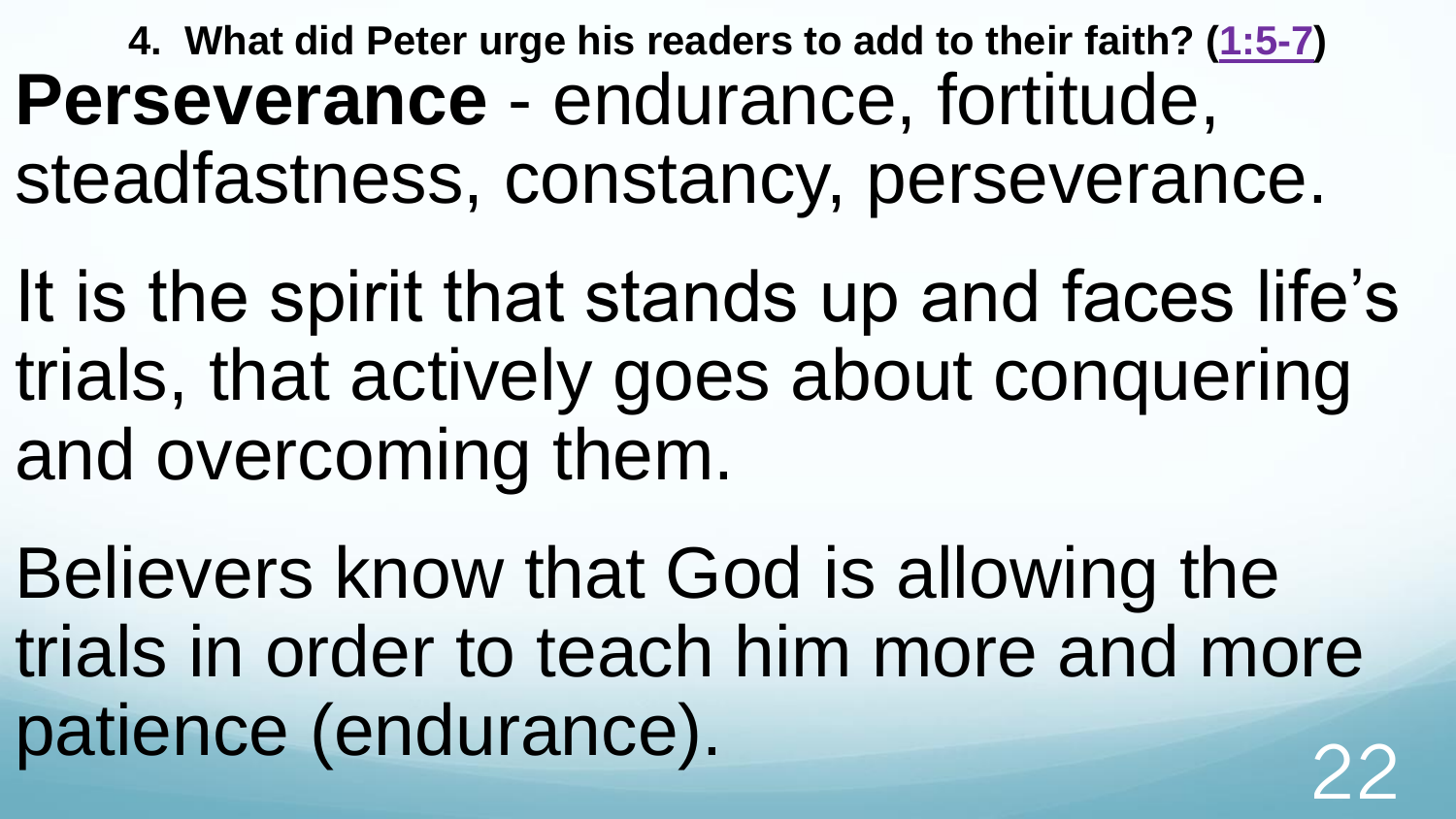**4. What did Peter urge his readers to add to their faith? ([1:5-7\)](http://www.crossbooks.com/verse.asp?ref=2Pe+1%3A5-7) Perseverance** - endurance, fortitude, steadfastness, constancy, perseverance.

It is the spirit that stands up and faces life's trials, that actively goes about conquering and overcoming them.

Believers know that God is allowing the trials in order to teach him more and more patience (endurance).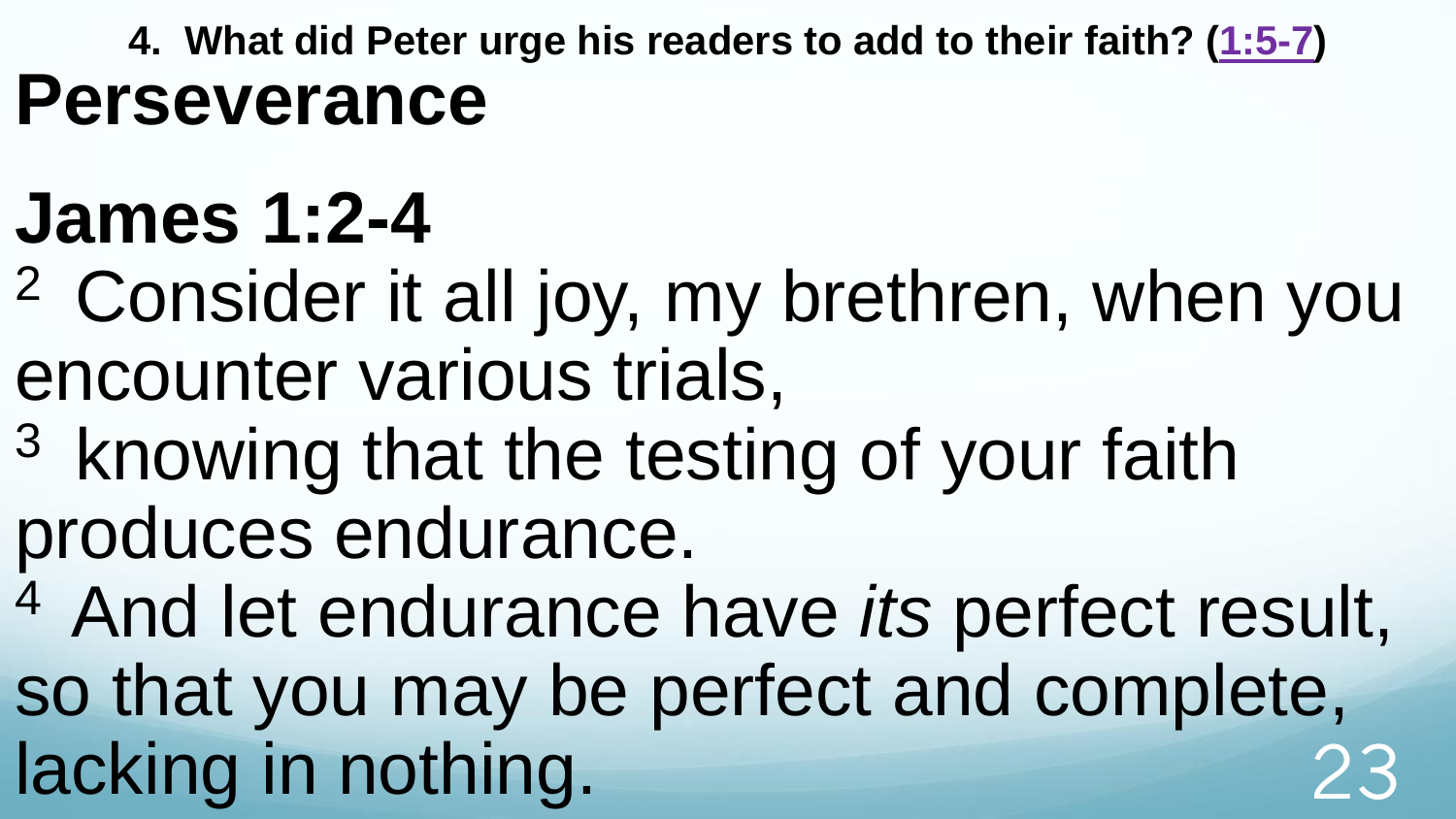**4. What did Peter urge his readers to add to their faith? ([1:5-7\)](http://www.crossbooks.com/verse.asp?ref=2Pe+1%3A5-7) Perseverance**

### **James 1:2-4**

- <sup>2</sup> Consider it all joy, my brethren, when you encounter various trials,
- <sup>3</sup> knowing that the testing of your faith produces endurance.
- <sup>4</sup> And let endurance have *its* perfect result, so that you may be perfect and complete, lacking in nothing.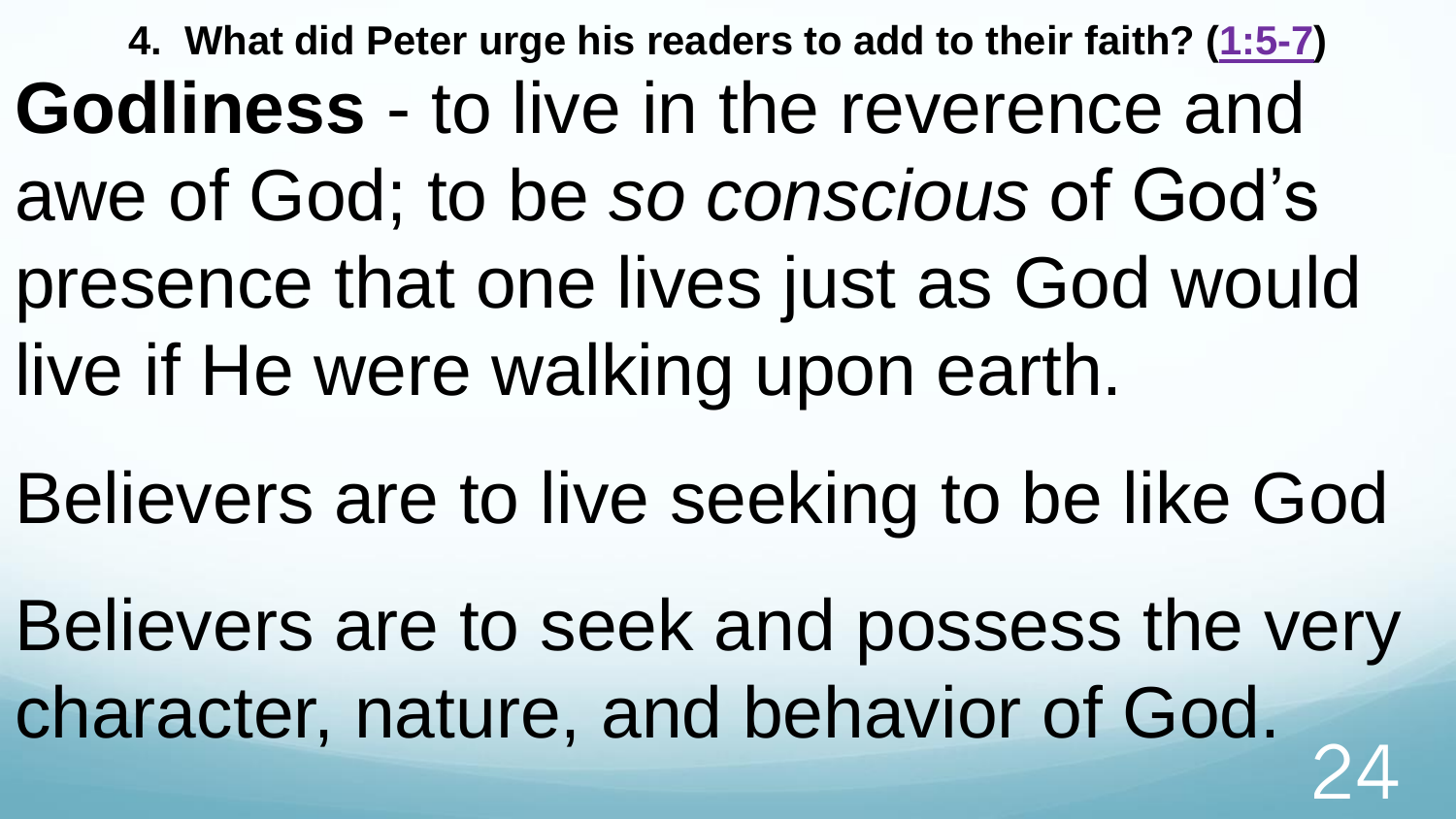**4. What did Peter urge his readers to add to their faith? ([1:5-7\)](http://www.crossbooks.com/verse.asp?ref=2Pe+1%3A5-7) Godliness** - to live in the reverence and awe of God; to be *so conscious* of God's presence that one lives just as God would live if He were walking upon earth.

Believers are to live seeking to be like God

Believers are to seek and possess the very character, nature, and behavior of God. 24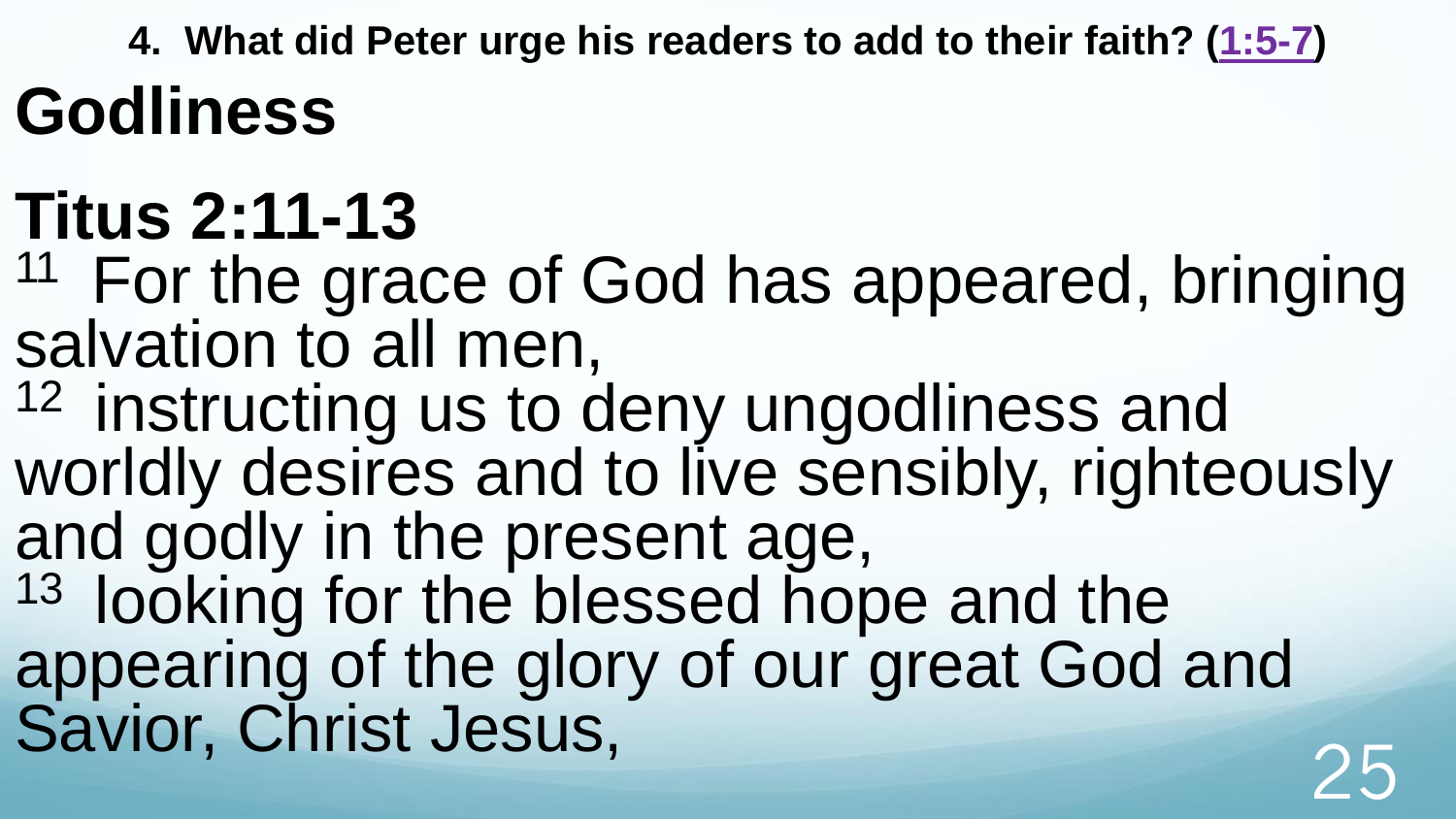**4. What did Peter urge his readers to add to their faith? ([1:5-7\)](http://www.crossbooks.com/verse.asp?ref=2Pe+1%3A5-7) Godliness**

### **Titus 2:11-13**

<sup>11</sup> For the grace of God has appeared, bringing salvation to all men.

<sup>12</sup> instructing us to deny ungodliness and worldly desires and to live sensibly, righteously and godly in the present age,  $13$  looking for the blessed hope and the appearing of the glory of our great God and Savior, Christ Jesus, 25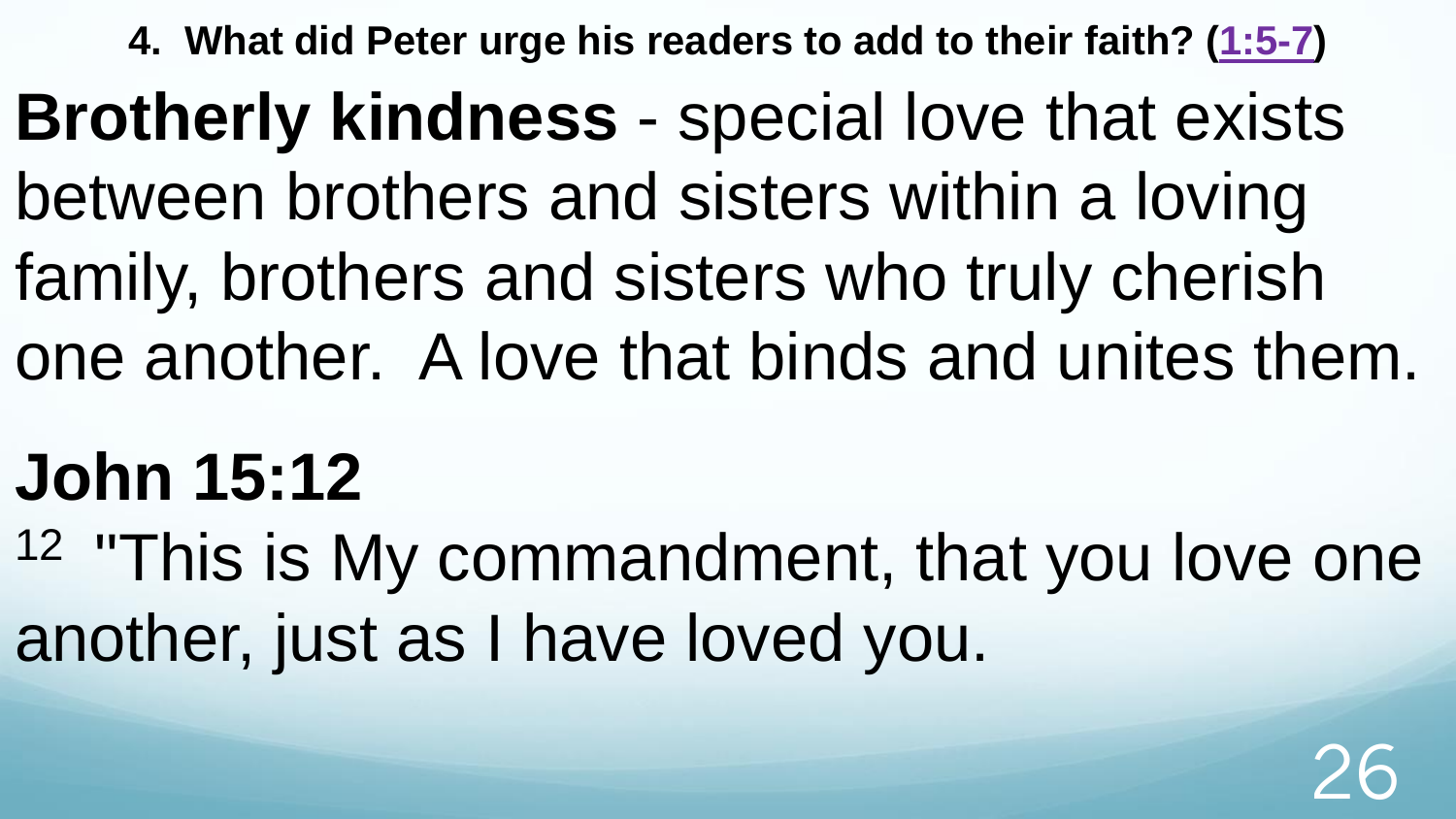**4. What did Peter urge his readers to add to their faith? ([1:5-7\)](http://www.crossbooks.com/verse.asp?ref=2Pe+1%3A5-7) Brotherly kindness** - special love that exists between brothers and sisters within a loving family, brothers and sisters who truly cherish one another. A love that binds and unites them.

### **John 15:12**

<sup>12</sup> "This is My commandment, that you love one another, just as I have loved you.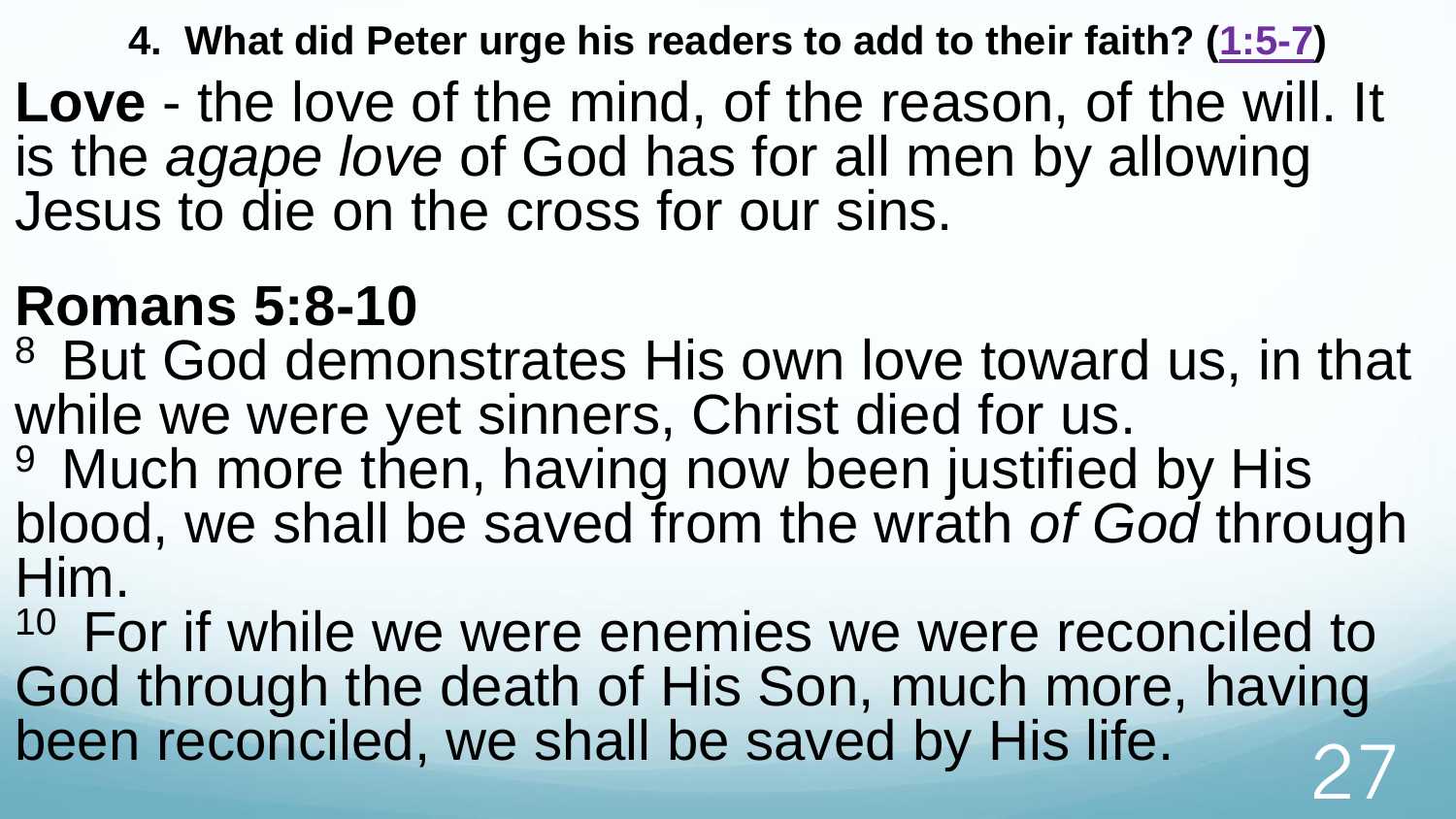**4. What did Peter urge his readers to add to their faith? ([1:5-7\)](http://www.crossbooks.com/verse.asp?ref=2Pe+1%3A5-7)**

**Love** - the love of the mind, of the reason, of the will. It is the *agape love* of God has for all men by allowing Jesus to die on the cross for our sins.

#### **Romans 5:8-10**

<sup>8</sup> But God demonstrates His own love toward us, in that while we were yet sinners, Christ died for us.

- <sup>9</sup> Much more then, having now been justified by His blood, we shall be saved from the wrath *of God* through Him.
- $10$  For if while we were enemies we were reconciled to God through the death of His Son, much more, having been reconciled, we shall be saved by His life.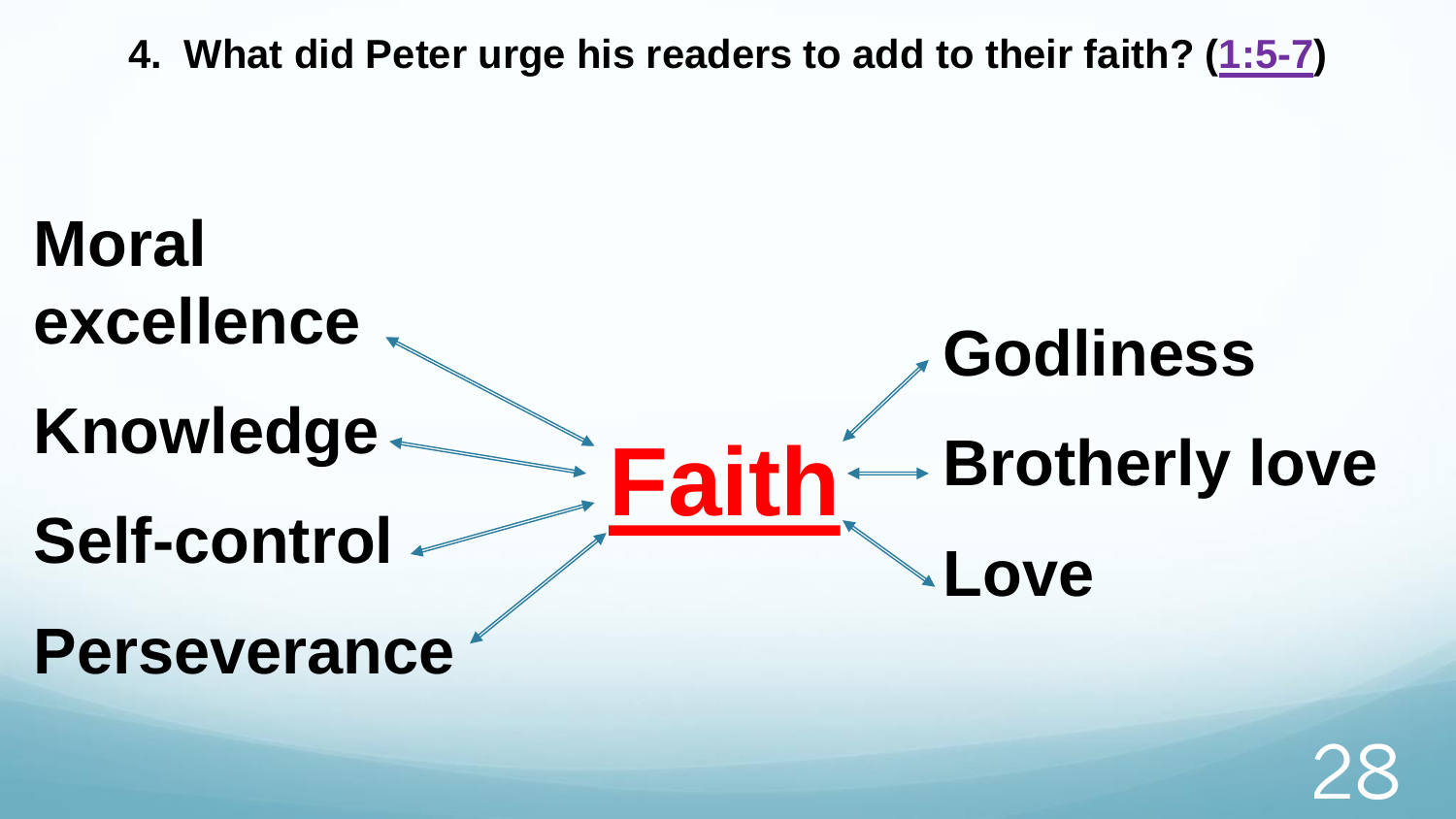**4. What did Peter urge his readers to add to their faith? ([1:5-7\)](http://www.crossbooks.com/verse.asp?ref=2Pe+1%3A5-7)**

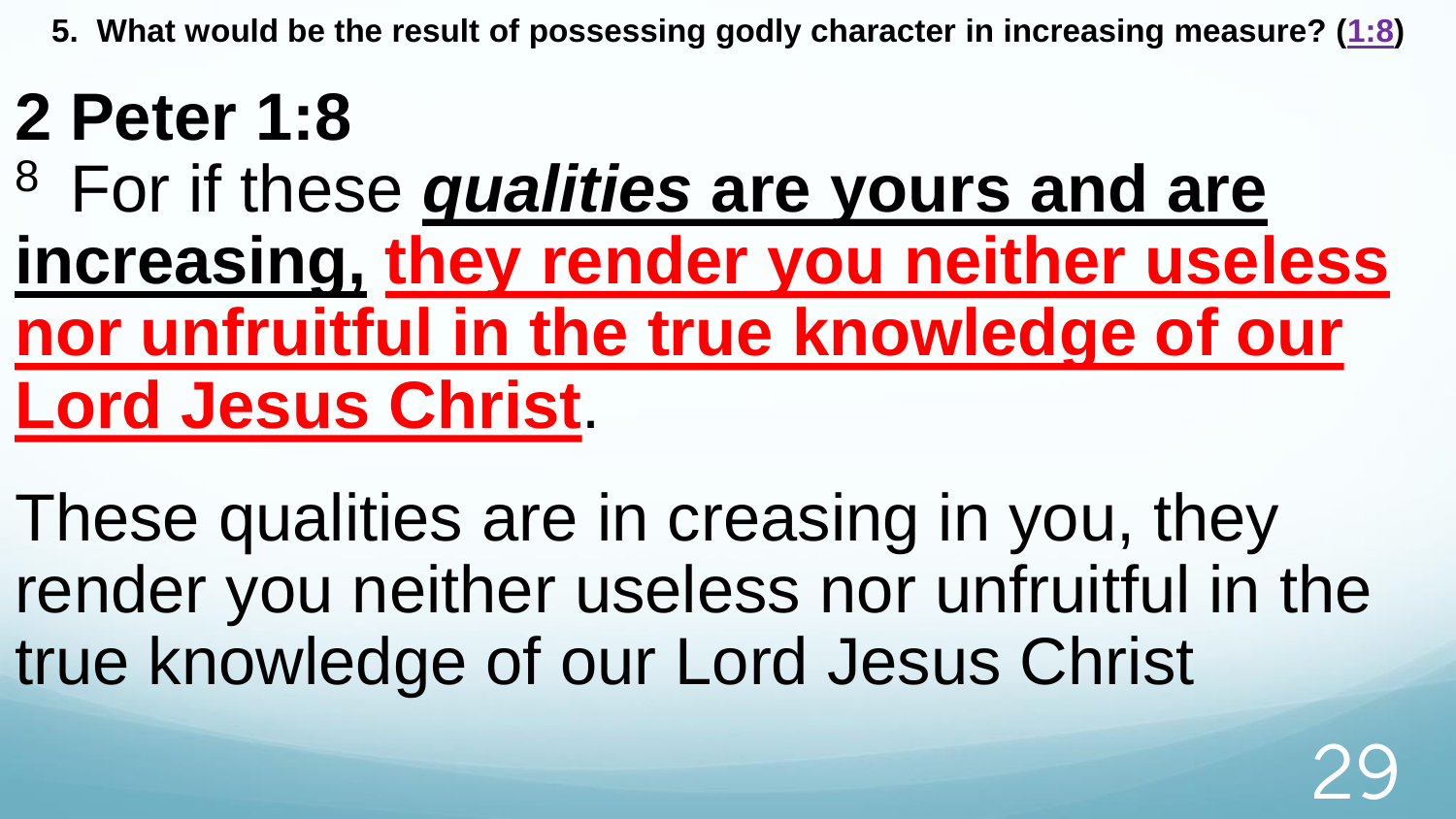**5. What would be the result of possessing godly character in increasing measure? ([1:8](http://www.crossbooks.com/verse.asp?ref=2Pe+1%3A8))**

### **2 Peter 1:8**

- <sup>8</sup>For if these *qualities* **are yours and are increasing, they render you neither useless nor unfruitful in the true knowledge of our Lord Jesus Christ**.
- These qualities are in creasing in you, they render you neither useless nor unfruitful in the true knowledge of our Lord Jesus Christ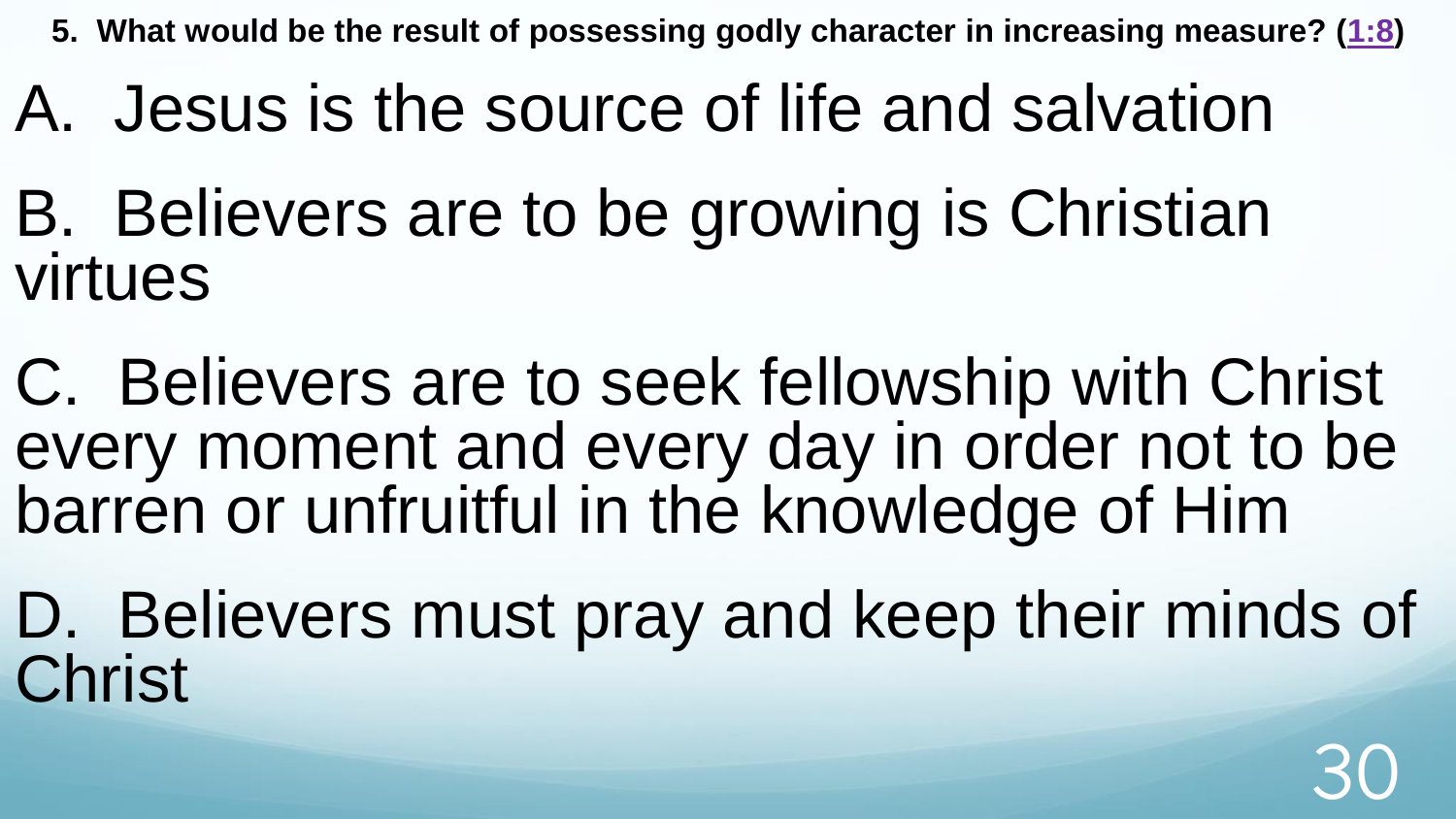**5. What would be the result of possessing godly character in increasing measure? ([1:8](http://www.crossbooks.com/verse.asp?ref=2Pe+1%3A8))**

- A. Jesus is the source of life and salvation
- B. Believers are to be growing is Christian virtues

C. Believers are to seek fellowship with Christ every moment and every day in order not to be barren or unfruitful in the knowledge of Him

D. Believers must pray and keep their minds of **Christ** 

30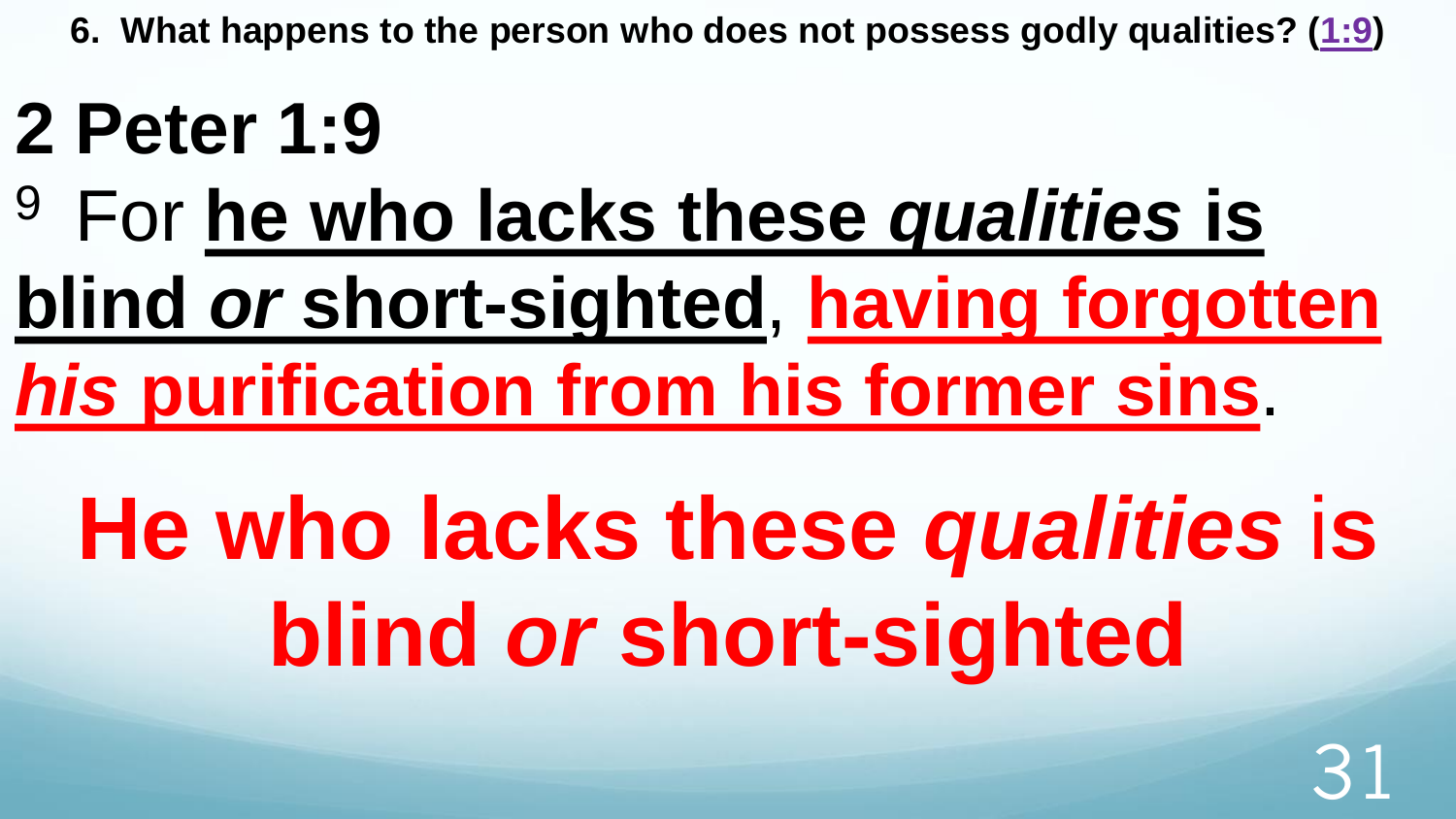**6. What happens to the person who does not possess godly qualities? ([1:9](http://www.crossbooks.com/verse.asp?ref=2Pe+1%3A9))** 

### **2 Peter 1:9**

# <sup>9</sup>For **he who lacks these** *qualities* **is**

**blind** *or* **short-sighted**, **having forgotten** 

*his* **purification from his former sins**.

# **He who lacks these** *qualities* i**s blind** *or* **short-sighted**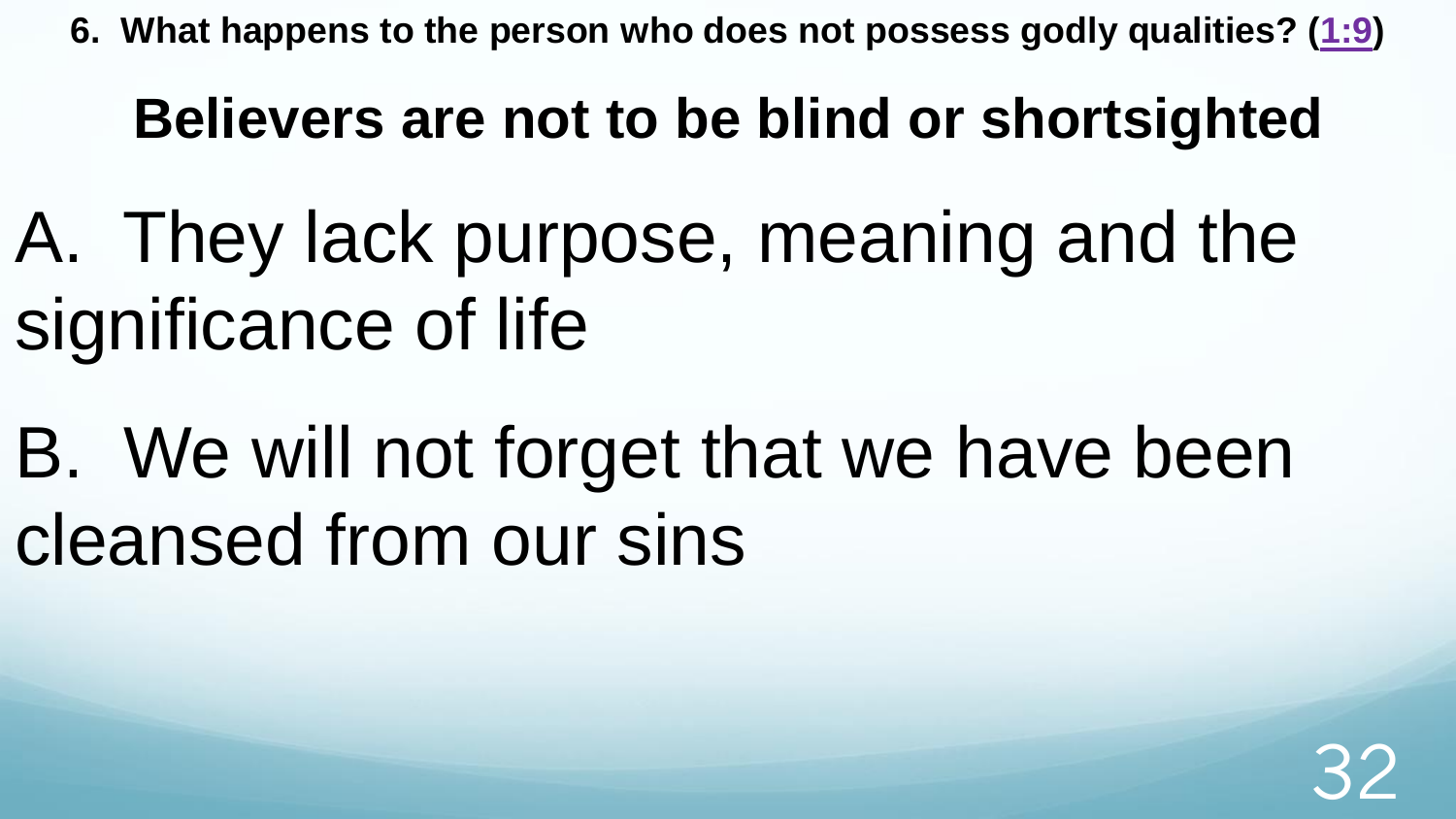**6. What happens to the person who does not possess godly qualities? ([1:9](http://www.crossbooks.com/verse.asp?ref=2Pe+1%3A9))** 

#### **Believers are not to be blind or shortsighted**

- A. They lack purpose, meaning and the significance of life
- B. We will not forget that we have been cleansed from our sins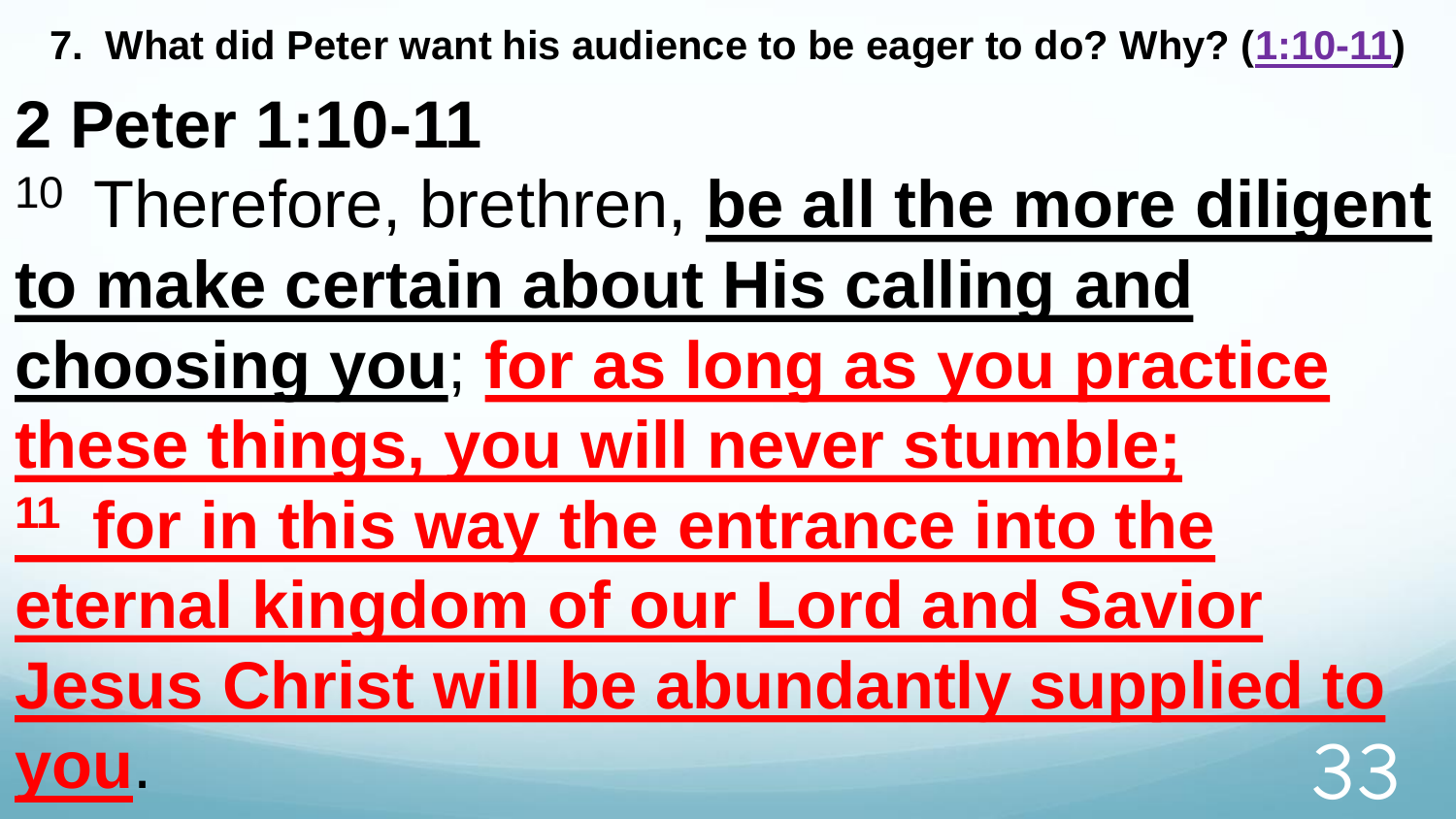**7. What did Peter want his audience to be eager to do? Why? ([1:10-11\)](http://www.crossbooks.com/verse.asp?ref=2Pe+1%3A10-11)**

### **2 Peter 1:10-11**

- <sup>10</sup> Therefore, brethren, be all the more diligent
- **to make certain about His calling and**
- **choosing you**; **for as long as you practice**
- **these things, you will never stumble;**
- **<sup>11</sup>for in this way the entrance into the**

**eternal kingdom of our Lord and Savior** 

**Jesus Christ will be abundantly supplied to** 

**you**. 33